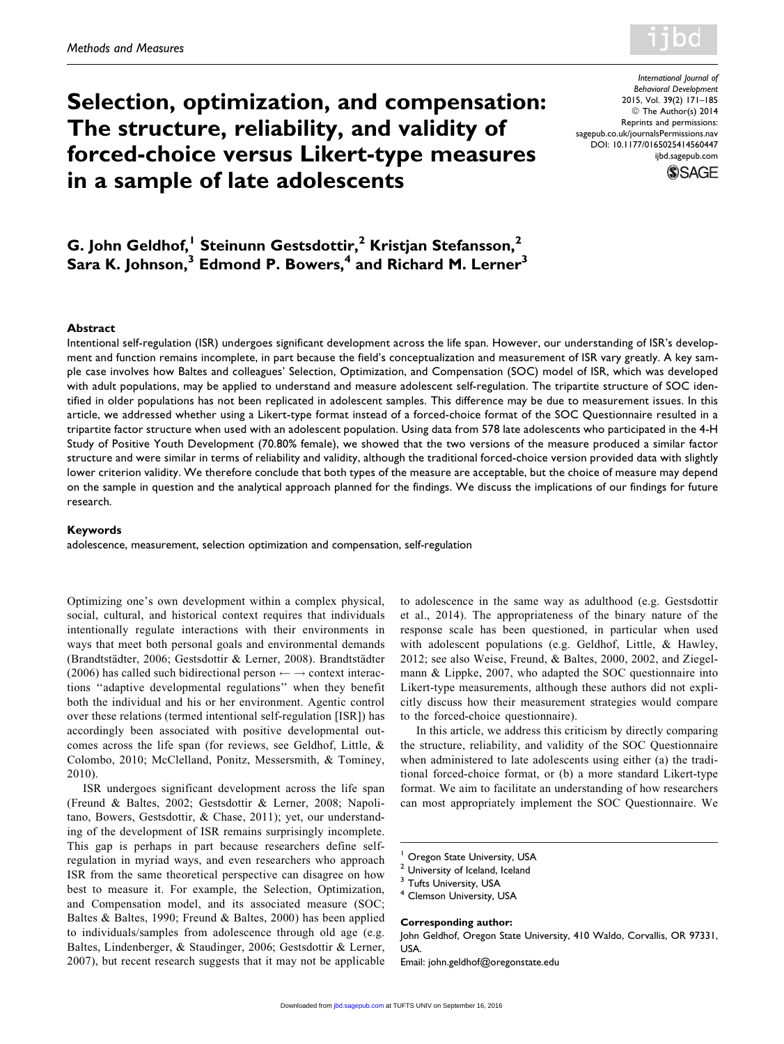

# Selection, optimization, and compensation: The structure, reliability, and validity of forced-choice versus Likert-type measures in a sample of late adolescents

International Journal of Behavioral Development 2015, Vol. 39(2) 171–185 © The Author(s) 2014 Reprints and permissions: [sagepub.co.uk/journalsPermissions.nav](http://www.sagepub.co.uk/journalsPermissions.nav) DOI: 10.1177/0165025414560447 [ijbd.sagepub.com](http://ijbd.sagepub.com)



G. John Geldhof, $\frac{1}{2}$  Steinunn Gestsdottir,<sup>2</sup> Kristjan Stefansson,<sup>2</sup> Sara K. Johnson, $3$  Edmond P. Bowers, $4$  and Richard M. Lerner

#### **Abstract**

Intentional self-regulation (ISR) undergoes significant development across the life span. However, our understanding of ISR's development and function remains incomplete, in part because the field's conceptualization and measurement of ISR vary greatly. A key sample case involves how Baltes and colleagues' Selection, Optimization, and Compensation (SOC) model of ISR, which was developed with adult populations, may be applied to understand and measure adolescent self-regulation. The tripartite structure of SOC identified in older populations has not been replicated in adolescent samples. This difference may be due to measurement issues. In this article, we addressed whether using a Likert-type format instead of a forced-choice format of the SOC Questionnaire resulted in a tripartite factor structure when used with an adolescent population. Using data from 578 late adolescents who participated in the 4-H Study of Positive Youth Development (70.80% female), we showed that the two versions of the measure produced a similar factor structure and were similar in terms of reliability and validity, although the traditional forced-choice version provided data with slightly lower criterion validity. We therefore conclude that both types of the measure are acceptable, but the choice of measure may depend on the sample in question and the analytical approach planned for the findings. We discuss the implications of our findings for future research.

#### Keywords

adolescence, measurement, selection optimization and compensation, self-regulation

Optimizing one's own development within a complex physical, social, cultural, and historical context requires that individuals intentionally regulate interactions with their environments in ways that meet both personal goals and environmental demands (Brandtstädter, 2006; Gestsdottir & Lerner, 2008). Brandtstädter (2006) has called such bidirectional person  $\leftarrow \rightarrow$  context interactions ''adaptive developmental regulations'' when they benefit both the individual and his or her environment. Agentic control over these relations (termed intentional self-regulation [ISR]) has accordingly been associated with positive developmental outcomes across the life span (for reviews, see Geldhof, Little, & Colombo, 2010; McClelland, Ponitz, Messersmith, & Tominey, 2010).

ISR undergoes significant development across the life span (Freund & Baltes, 2002; Gestsdottir & Lerner, 2008; Napolitano, Bowers, Gestsdottir, & Chase, 2011); yet, our understanding of the development of ISR remains surprisingly incomplete. This gap is perhaps in part because researchers define selfregulation in myriad ways, and even researchers who approach ISR from the same theoretical perspective can disagree on how best to measure it. For example, the Selection, Optimization, and Compensation model, and its associated measure (SOC; Baltes & Baltes, 1990; Freund & Baltes, 2000) has been applied to individuals/samples from adolescence through old age (e.g. Baltes, Lindenberger, & Staudinger, 2006; Gestsdottir & Lerner, 2007), but recent research suggests that it may not be applicable to adolescence in the same way as adulthood (e.g. Gestsdottir et al., 2014). The appropriateness of the binary nature of the response scale has been questioned, in particular when used with adolescent populations (e.g. Geldhof, Little, & Hawley, 2012; see also Weise, Freund, & Baltes, 2000, 2002, and Ziegelmann & Lippke, 2007, who adapted the SOC questionnaire into Likert-type measurements, although these authors did not explicitly discuss how their measurement strategies would compare to the forced-choice questionnaire).

In this article, we address this criticism by directly comparing the structure, reliability, and validity of the SOC Questionnaire when administered to late adolescents using either (a) the traditional forced-choice format, or (b) a more standard Likert-type format. We aim to facilitate an understanding of how researchers can most appropriately implement the SOC Questionnaire. We

#### Corresponding author:

John Geldhof, Oregon State University, 410 Waldo, Corvallis, OR 97331, USA.

Email: john.geldhof@oregonstate.edu

Oregon State University, USA

<sup>&</sup>lt;sup>2</sup> University of Iceland, Iceland

<sup>&</sup>lt;sup>3</sup> Tufts University, USA

<sup>4</sup> Clemson University, USA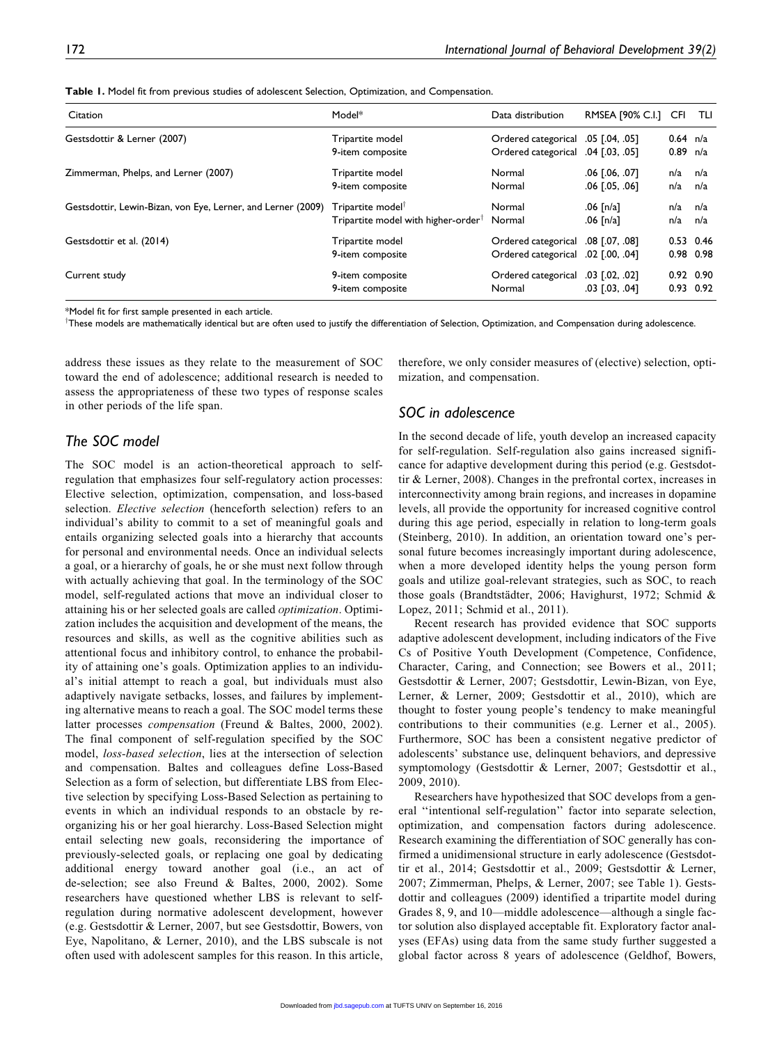|  |  | Table 1. Model fit from previous studies of adolescent Selection, Optimization, and Compensation. |  |  |
|--|--|---------------------------------------------------------------------------------------------------|--|--|
|--|--|---------------------------------------------------------------------------------------------------|--|--|

| Citation                                                     | Model*                                                                         | Data distribution                                         | RMSEA [90% C.I.] CFI                     |                          | - TLI             |
|--------------------------------------------------------------|--------------------------------------------------------------------------------|-----------------------------------------------------------|------------------------------------------|--------------------------|-------------------|
| Gestsdottir & Lerner (2007)                                  | Tripartite model<br>9-item composite                                           | Ordered categorical<br>Ordered categorical .04 [.03, .05] | .05 [.04, .05]                           | $0.64$ n/a<br>$0.89$ n/a |                   |
| Zimmerman, Phelps, and Lerner (2007)                         | Tripartite model<br>9-item composite                                           | Normal<br>Normal                                          | $.06$ $[.06, .07]$<br>$.06$ $[.05, .06]$ | n/a<br>n/a               | n/a<br>n/a        |
| Gestsdottir, Lewin-Bizan, von Eye, Lerner, and Lerner (2009) | Tripartite model <sup>†</sup><br>Tripartite model with higher-order $^\dagger$ | Normal<br>Normal                                          | .06 $[n/a]$<br>.06 $[n/a]$               | n/a<br>n/a               | n/a<br>n/a        |
| Gestsdottir et al. (2014)                                    | Tripartite model<br>9-item composite                                           | Ordered categorical<br>Ordered categorical .02 [.00, .04] | $.08$ $[.07, .08]$                       | $0.53$ 0.46<br>0.98 0.98 |                   |
| Current study                                                | 9-item composite<br>9-item composite                                           | Ordered categorical<br>Normal                             | $.03$ $[.02, .02]$<br>$.03$ $[.03, .04]$ | 0.93                     | 0.92 0.90<br>0.92 |

\*Model fit for first sample presented in each article.

<sup>†</sup>These models are mathematically identical but are often used to justify the differentiation of Selection, Optimization, and Compensation during adolescence.

address these issues as they relate to the measurement of SOC toward the end of adolescence; additional research is needed to assess the appropriateness of these two types of response scales in other periods of the life span.

# The SOC model

The SOC model is an action-theoretical approach to selfregulation that emphasizes four self-regulatory action processes: Elective selection, optimization, compensation, and loss-based selection. *Elective selection* (henceforth selection) refers to an individual's ability to commit to a set of meaningful goals and entails organizing selected goals into a hierarchy that accounts for personal and environmental needs. Once an individual selects a goal, or a hierarchy of goals, he or she must next follow through with actually achieving that goal. In the terminology of the SOC model, self-regulated actions that move an individual closer to attaining his or her selected goals are called Optimization. Optimization includes the acquisition and development of the means, the resources and skills, as well as the cognitive abilities such as attentional focus and inhibitory control, to enhance the probability of attaining one's goals. Optimization applies to an individual's initial attempt to reach a goal, but individuals must also adaptively navigate setbacks, losses, and failures by implementing alternative means to reach a goal. The SOC model terms these latter processes compensation (Freund & Baltes, 2000, 2002). The final component of self-regulation specified by the SOC model, loss-based selection, lies at the intersection of selection and Compensation. Baltes and colleagues define Loss-Based Selection as a form of selection, but differentiate LBS from Elective Selection by specifying Loss-Based Selection as pertaining to events in which an individual responds to an obstacle by reorganizing his or her goal hierarchy. Loss-Based Selection might entail selecting new goals, reconsidering the importance of previously-selected goals, or replacing one goal by dedicating additional energy toward another goal (i.e., an act of de-selection; see also Freund & Baltes, 2000, 2002). Some researchers have questioned whether LBS is relevant to selfregulation during normative adolescent development, however (e.g. Gestsdottir & Lerner, 2007, but see Gestsdottir, Bowers, von Eye, Napolitano, & Lerner, 2010), and the LBS subscale is not often used with adolescent samples for this reason. In this article, therefore, we only consider measures of (elective) selection, optimization, and compensation.

# SOC in adolescence

In the second decade of life, youth develop an increased capacity for self-regulation. Self-regulation also gains increased significance for adaptive development during this period (e.g. Gestsdottir & Lerner, 2008). Changes in the prefrontal cortex, increases in interconnectivity among brain regions, and increases in dopamine levels, all provide the opportunity for increased cognitive control during this age period, especially in relation to long-term goals (Steinberg, 2010). In addition, an orientation toward one's personal future becomes increasingly important during adolescence, when a more developed identity helps the young person form goals and utilize goal-relevant strategies, such as SOC, to reach those goals (Brandtstädter, 2006; Havighurst, 1972; Schmid & Lopez, 2011; Schmid et al., 2011).

Recent research has provided evidence that SOC supports adaptive adolescent development, including indicators of the Five Cs of Positive Youth Development (Competence, Confidence, Character, Caring, and Connection; see Bowers et al., 2011; Gestsdottir & Lerner, 2007; Gestsdottir, Lewin-Bizan, von Eye, Lerner, & Lerner, 2009; Gestsdottir et al., 2010), which are thought to foster young people's tendency to make meaningful contributions to their communities (e.g. Lerner et al., 2005). Furthermore, SOC has been a consistent negative predictor of adolescents' substance use, delinquent behaviors, and depressive symptomology (Gestsdottir & Lerner, 2007; Gestsdottir et al., 2009, 2010).

Researchers have hypothesized that SOC develops from a general ''intentional self-regulation'' factor into separate selection, optimization, and compensation factors during adolescence. Research examining the differentiation of SOC generally has confirmed a unidimensional structure in early adolescence (Gestsdottir et al., 2014; Gestsdottir et al., 2009; Gestsdottir & Lerner, 2007; Zimmerman, Phelps, & Lerner, 2007; see Table 1). Gestsdottir and colleagues (2009) identified a tripartite model during Grades 8, 9, and 10—middle adolescence—although a single factor solution also displayed acceptable fit. Exploratory factor analyses (EFAs) using data from the same study further suggested a global factor across 8 years of adolescence (Geldhof, Bowers,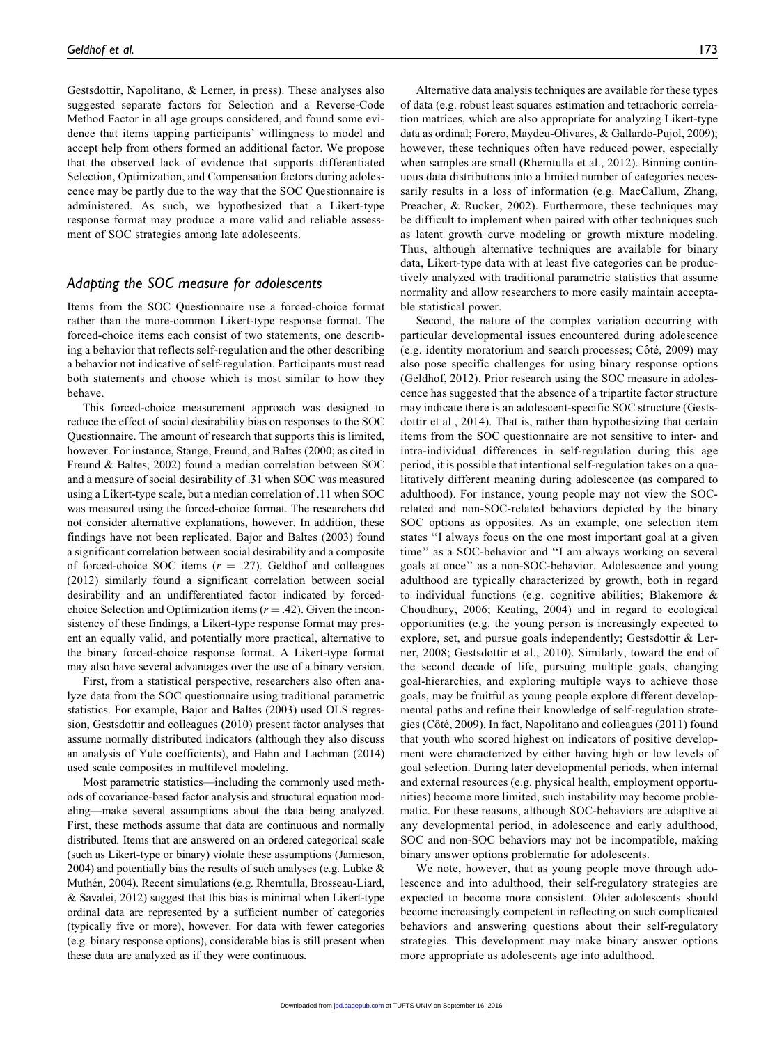Gestsdottir, Napolitano, & Lerner, in press). These analyses also suggested separate factors for Selection and a Reverse-Code Method Factor in all age groups considered, and found some evidence that items tapping participants' willingness to model and accept help from others formed an additional factor. We propose that the observed lack of evidence that supports differentiated Selection, Optimization, and Compensation factors during adolescence may be partly due to the way that the SOC Questionnaire is administered. As such, we hypothesized that a Likert-type response format may produce a more valid and reliable assessment of SOC strategies among late adolescents.

# Adapting the SOC measure for adolescents

Items from the SOC Questionnaire use a forced-choice format rather than the more-common Likert-type response format. The forced-choice items each consist of two statements, one describing a behavior that reflects self-regulation and the other describing a behavior not indicative of self-regulation. Participants must read both statements and choose which is most similar to how they behave.

This forced-choice measurement approach was designed to reduce the effect of social desirability bias on responses to the SOC Questionnaire. The amount of research that supports this is limited, however. For instance, Stange, Freund, and Baltes (2000; as cited in Freund & Baltes, 2002) found a median correlation between SOC and a measure of social desirability of .31 when SOC was measured using a Likert-type scale, but a median correlation of .11 when SOC was measured using the forced-choice format. The researchers did not consider alternative explanations, however. In addition, these findings have not been replicated. Bajor and Baltes (2003) found a significant correlation between social desirability and a composite of forced-choice SOC items  $(r = .27)$ . Geldhof and colleagues (2012) similarly found a significant correlation between social desirability and an undifferentiated factor indicated by forcedchoice Selection and Optimization items  $(r = .42)$ . Given the inconsistency of these findings, a Likert-type response format may present an equally valid, and potentially more practical, alternative to the binary forced-choice response format. A Likert-type format may also have several advantages over the use of a binary version.

First, from a statistical perspective, researchers also often analyze data from the SOC questionnaire using traditional parametric statistics. For example, Bajor and Baltes (2003) used OLS regression, Gestsdottir and colleagues (2010) present factor analyses that assume normally distributed indicators (although they also discuss an analysis of Yule coefficients), and Hahn and Lachman (2014) used scale composites in multilevel modeling.

Most parametric statistics—including the commonly used methods of covariance-based factor analysis and structural equation modeling—make several assumptions about the data being analyzed. First, these methods assume that data are continuous and normally distributed. Items that are answered on an ordered categorical scale (such as Likert-type or binary) violate these assumptions (Jamieson, 2004) and potentially bias the results of such analyses (e.g. Lubke & Muthén, 2004). Recent simulations (e.g. Rhemtulla, Brosseau-Liard, & Savalei, 2012) suggest that this bias is minimal when Likert-type ordinal data are represented by a sufficient number of categories (typically five or more), however. For data with fewer categories (e.g. binary response options), considerable bias is still present when these data are analyzed as if they were continuous.

Alternative data analysis techniques are available for these types of data (e.g. robust least squares estimation and tetrachoric correlation matrices, which are also appropriate for analyzing Likert-type data as ordinal; Forero, Maydeu-Olivares, & Gallardo-Pujol, 2009); however, these techniques often have reduced power, especially when samples are small (Rhemtulla et al., 2012). Binning continuous data distributions into a limited number of categories necessarily results in a loss of information (e.g. MacCallum, Zhang, Preacher, & Rucker, 2002). Furthermore, these techniques may be difficult to implement when paired with other techniques such as latent growth curve modeling or growth mixture modeling. Thus, although alternative techniques are available for binary data, Likert-type data with at least five categories can be productively analyzed with traditional parametric statistics that assume normality and allow researchers to more easily maintain acceptable statistical power.

Second, the nature of the complex variation occurring with particular developmental issues encountered during adolescence  $(e.g.$  identity moratorium and search processes; Côté, 2009) may also pose specific challenges for using binary response options (Geldhof, 2012). Prior research using the SOC measure in adolescence has suggested that the absence of a tripartite factor structure may indicate there is an adolescent-specific SOC structure (Gestsdottir et al., 2014). That is, rather than hypothesizing that certain items from the SOC questionnaire are not sensitive to inter- and intra-individual differences in self-regulation during this age period, it is possible that intentional self-regulation takes on a qualitatively different meaning during adolescence (as compared to adulthood). For instance, young people may not view the SOCrelated and non-SOC-related behaviors depicted by the binary SOC options as opposites. As an example, one selection item states ''I always focus on the one most important goal at a given time'' as a SOC-behavior and ''I am always working on several goals at once'' as a non-SOC-behavior. Adolescence and young adulthood are typically characterized by growth, both in regard to individual functions (e.g. cognitive abilities; Blakemore & Choudhury, 2006; Keating, 2004) and in regard to ecological opportunities (e.g. the young person is increasingly expected to explore, set, and pursue goals independently; Gestsdottir & Lerner, 2008; Gestsdottir et al., 2010). Similarly, toward the end of the second decade of life, pursuing multiple goals, changing goal-hierarchies, and exploring multiple ways to achieve those goals, may be fruitful as young people explore different developmental paths and refine their knowledge of self-regulation strategies (Côté, 2009). In fact, Napolitano and colleagues (2011) found that youth who scored highest on indicators of positive development were characterized by either having high or low levels of goal selection. During later developmental periods, when internal and external resources (e.g. physical health, employment opportunities) become more limited, such instability may become problematic. For these reasons, although SOC-behaviors are adaptive at any developmental period, in adolescence and early adulthood, SOC and non-SOC behaviors may not be incompatible, making binary answer options problematic for adolescents.

We note, however, that as young people move through adolescence and into adulthood, their self-regulatory strategies are expected to become more consistent. Older adolescents should become increasingly competent in reflecting on such complicated behaviors and answering questions about their self-regulatory strategies. This development may make binary answer options more appropriate as adolescents age into adulthood.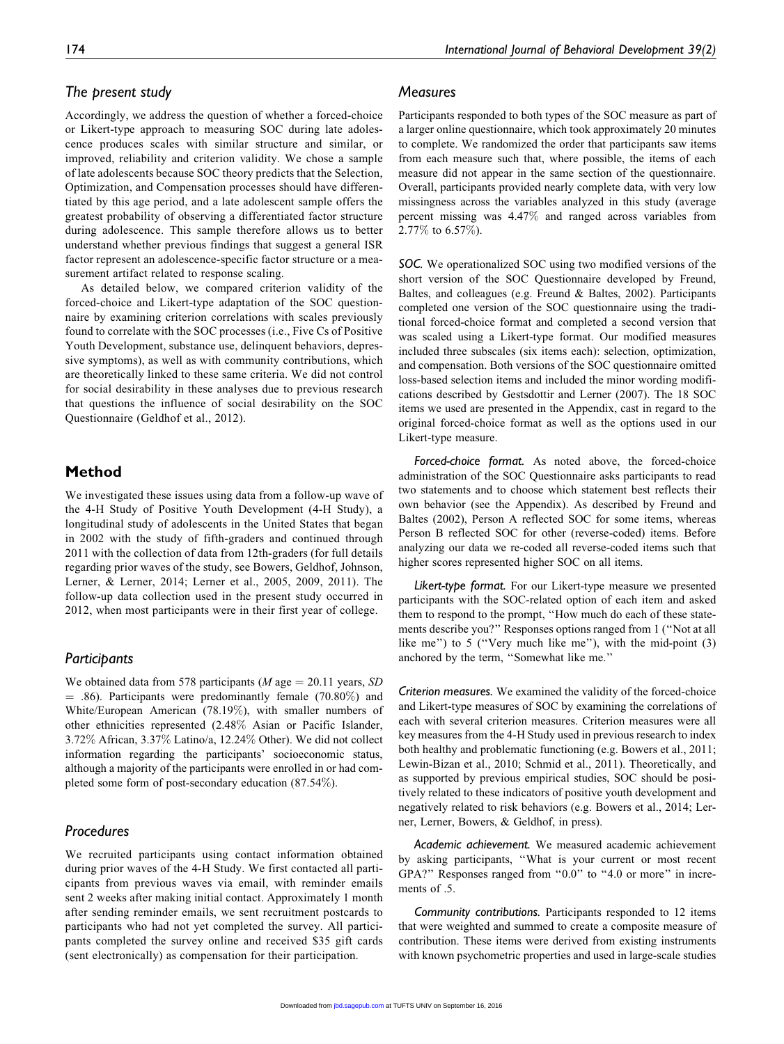# The present study

Accordingly, we address the question of whether a forced-choice or Likert-type approach to measuring SOC during late adolescence produces scales with similar structure and similar, or improved, reliability and criterion validity. We chose a sample of late adolescents because SOC theory predicts that the Selection, Optimization, and Compensation processes should have differentiated by this age period, and a late adolescent sample offers the greatest probability of observing a differentiated factor structure during adolescence. This sample therefore allows us to better understand whether previous findings that suggest a general ISR factor represent an adolescence-specific factor structure or a measurement artifact related to response scaling.

As detailed below, we compared criterion validity of the forced-choice and Likert-type adaptation of the SOC questionnaire by examining criterion correlations with scales previously found to correlate with the SOC processes (i.e., Five Cs of Positive Youth Development, substance use, delinquent behaviors, depressive symptoms), as well as with community contributions, which are theoretically linked to these same criteria. We did not control for social desirability in these analyses due to previous research that questions the influence of social desirability on the SOC Questionnaire (Geldhof et al., 2012).

# Method

We investigated these issues using data from a follow-up wave of the 4-H Study of Positive Youth Development (4-H Study), a longitudinal study of adolescents in the United States that began in 2002 with the study of fifth-graders and continued through 2011 with the collection of data from 12th-graders (for full details regarding prior waves of the study, see Bowers, Geldhof, Johnson, Lerner, & Lerner, 2014; Lerner et al., 2005, 2009, 2011). The follow-up data collection used in the present study occurred in 2012, when most participants were in their first year of college.

# **Participants**

We obtained data from 578 participants ( $M$  age = 20.11 years, SD  $=$  .86). Participants were predominantly female (70.80%) and White/European American (78.19%), with smaller numbers of other ethnicities represented (2.48% Asian or Pacific Islander, 3.72% African, 3.37% Latino/a, 12.24% Other). We did not collect information regarding the participants' socioeconomic status, although a majority of the participants were enrolled in or had completed some form of post-secondary education (87.54%).

# **Procedures**

We recruited participants using contact information obtained during prior waves of the 4-H Study. We first contacted all participants from previous waves via email, with reminder emails sent 2 weeks after making initial contact. Approximately 1 month after sending reminder emails, we sent recruitment postcards to participants who had not yet completed the survey. All participants completed the survey online and received \$35 gift cards (sent electronically) as compensation for their participation.

## **Measures**

Participants responded to both types of the SOC measure as part of a larger online questionnaire, which took approximately 20 minutes to complete. We randomized the order that participants saw items from each measure such that, where possible, the items of each measure did not appear in the same section of the questionnaire. Overall, participants provided nearly complete data, with very low missingness across the variables analyzed in this study (average percent missing was 4.47% and ranged across variables from 2.77% to 6.57%).

SOC. We operationalized SOC using two modified versions of the short version of the SOC Questionnaire developed by Freund, Baltes, and colleagues (e.g. Freund & Baltes, 2002). Participants completed one version of the SOC questionnaire using the traditional forced-choice format and completed a second version that was scaled using a Likert-type format. Our modified measures included three subscales (six items each): selection, optimization, and compensation. Both versions of the SOC questionnaire omitted loss-based selection items and included the minor wording modifications described by Gestsdottir and Lerner (2007). The 18 SOC items we used are presented in the Appendix, cast in regard to the original forced-choice format as well as the options used in our Likert-type measure.

Forced-choice format. As noted above, the forced-choice administration of the SOC Questionnaire asks participants to read two statements and to choose which statement best reflects their own behavior (see the Appendix). As described by Freund and Baltes (2002), Person A reflected SOC for some items, whereas Person B reflected SOC for other (reverse-coded) items. Before analyzing our data we re-coded all reverse-coded items such that higher scores represented higher SOC on all items.

Likert-type format. For our Likert-type measure we presented participants with the SOC-related option of each item and asked them to respond to the prompt, ''How much do each of these statements describe you?'' Responses options ranged from 1 (''Not at all like me") to 5 ("Very much like me"), with the mid-point (3) anchored by the term, ''Somewhat like me.''

Criterion measures. We examined the validity of the forced-choice and Likert-type measures of SOC by examining the correlations of each with several criterion measures. Criterion measures were all key measures from the 4-H Study used in previous research to index both healthy and problematic functioning (e.g. Bowers et al., 2011; Lewin-Bizan et al., 2010; Schmid et al., 2011). Theoretically, and as supported by previous empirical studies, SOC should be positively related to these indicators of positive youth development and negatively related to risk behaviors (e.g. Bowers et al., 2014; Lerner, Lerner, Bowers, & Geldhof, in press).

Academic achievement. We measured academic achievement by asking participants, ''What is your current or most recent GPA?" Responses ranged from "0.0" to "4.0 or more" in increments of 5.

Community contributions. Participants responded to 12 items that were weighted and summed to create a composite measure of contribution. These items were derived from existing instruments with known psychometric properties and used in large-scale studies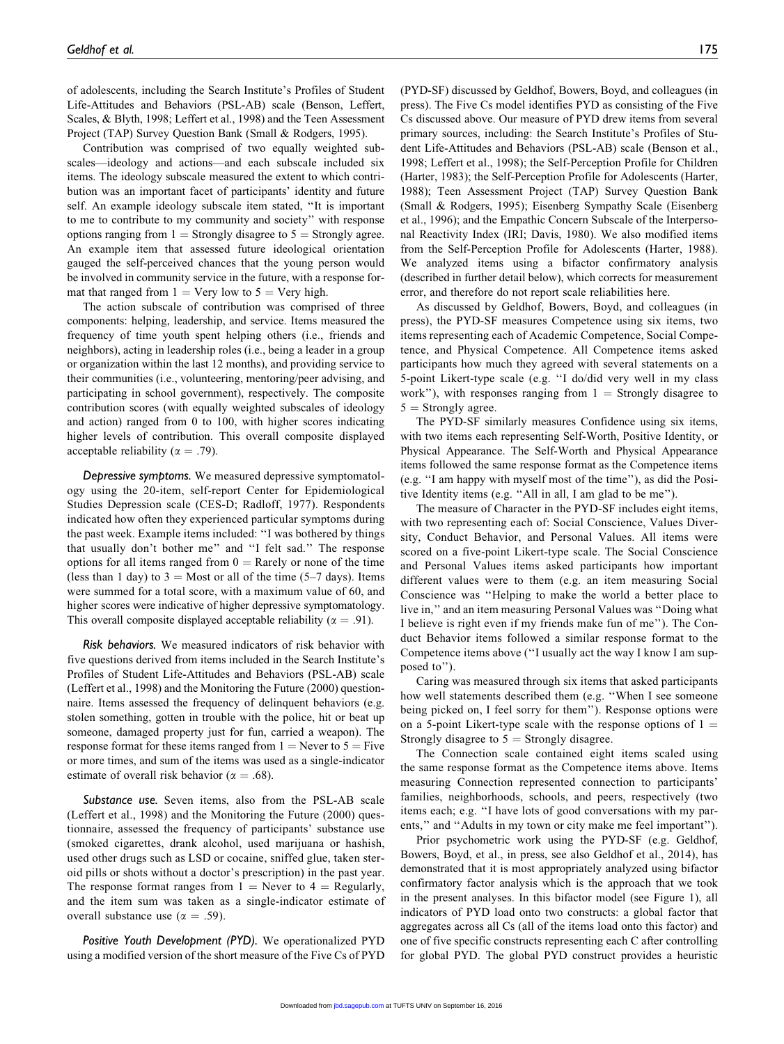of adolescents, including the Search Institute's Profiles of Student Life-Attitudes and Behaviors (PSL-AB) scale (Benson, Leffert, Scales, & Blyth, 1998; Leffert et al., 1998) and the Teen Assessment Project (TAP) Survey Question Bank (Small & Rodgers, 1995).

Contribution was comprised of two equally weighted subscales—ideology and actions—and each subscale included six items. The ideology subscale measured the extent to which contribution was an important facet of participants' identity and future self. An example ideology subscale item stated, ''It is important to me to contribute to my community and society'' with response options ranging from  $1 =$  Strongly disagree to  $5 =$  Strongly agree. An example item that assessed future ideological orientation gauged the self-perceived chances that the young person would be involved in community service in the future, with a response format that ranged from  $1 = \text{Very low to } 5 = \text{Very high.}$ 

The action subscale of contribution was comprised of three components: helping, leadership, and service. Items measured the frequency of time youth spent helping others (i.e., friends and neighbors), acting in leadership roles (i.e., being a leader in a group or organization within the last 12 months), and providing service to their communities (i.e., volunteering, mentoring/peer advising, and participating in school government), respectively. The composite contribution scores (with equally weighted subscales of ideology and action) ranged from 0 to 100, with higher scores indicating higher levels of contribution. This overall composite displayed acceptable reliability ( $\alpha = .79$ ).

Depressive symptoms. We measured depressive symptomatology using the 20-item, self-report Center for Epidemiological Studies Depression scale (CES-D; Radloff, 1977). Respondents indicated how often they experienced particular symptoms during the past week. Example items included: ''I was bothered by things that usually don't bother me'' and ''I felt sad.'' The response options for all items ranged from  $0 =$  Rarely or none of the time (less than 1 day) to  $3 =$  Most or all of the time (5–7 days). Items were summed for a total score, with a maximum value of 60, and higher scores were indicative of higher depressive symptomatology. This overall composite displayed acceptable reliability ( $\alpha = .91$ ).

Risk behaviors. We measured indicators of risk behavior with five questions derived from items included in the Search Institute's Profiles of Student Life-Attitudes and Behaviors (PSL-AB) scale (Leffert et al., 1998) and the Monitoring the Future (2000) questionnaire. Items assessed the frequency of delinquent behaviors (e.g. stolen something, gotten in trouble with the police, hit or beat up someone, damaged property just for fun, carried a weapon). The response format for these items ranged from  $1 =$  Never to  $5 =$  Five or more times, and sum of the items was used as a single-indicator estimate of overall risk behavior ( $\alpha = .68$ ).

Substance use. Seven items, also from the PSL-AB scale (Leffert et al., 1998) and the Monitoring the Future (2000) questionnaire, assessed the frequency of participants' substance use (smoked cigarettes, drank alcohol, used marijuana or hashish, used other drugs such as LSD or cocaine, sniffed glue, taken steroid pills or shots without a doctor's prescription) in the past year. The response format ranges from  $1 =$  Never to  $4 =$  Regularly, and the item sum was taken as a single-indicator estimate of overall substance use ( $\alpha = .59$ ).

Positive Youth Development (PYD). We operationalized PYD using a modified version of the short measure of the Five Cs of PYD

(PYD-SF) discussed by Geldhof, Bowers, Boyd, and colleagues (in press). The Five Cs model identifies PYD as consisting of the Five Cs discussed above. Our measure of PYD drew items from several primary sources, including: the Search Institute's Profiles of Student Life-Attitudes and Behaviors (PSL-AB) scale (Benson et al., 1998; Leffert et al., 1998); the Self-Perception Profile for Children (Harter, 1983); the Self-Perception Profile for Adolescents (Harter, 1988); Teen Assessment Project (TAP) Survey Question Bank (Small & Rodgers, 1995); Eisenberg Sympathy Scale (Eisenberg et al., 1996); and the Empathic Concern Subscale of the Interpersonal Reactivity Index (IRI; Davis, 1980). We also modified items from the Self-Perception Profile for Adolescents (Harter, 1988). We analyzed items using a bifactor confirmatory analysis (described in further detail below), which corrects for measurement error, and therefore do not report scale reliabilities here.

As discussed by Geldhof, Bowers, Boyd, and colleagues (in press), the PYD-SF measures Competence using six items, two items representing each of Academic Competence, Social Competence, and Physical Competence. All Competence items asked participants how much they agreed with several statements on a 5-point Likert-type scale (e.g. ''I do/did very well in my class work"), with responses ranging from  $1 =$  Strongly disagree to  $5 =$  Strongly agree.

The PYD-SF similarly measures Confidence using six items, with two items each representing Self-Worth, Positive Identity, or Physical Appearance. The Self-Worth and Physical Appearance items followed the same response format as the Competence items (e.g. ''I am happy with myself most of the time''), as did the Positive Identity items (e.g. ''All in all, I am glad to be me'').

The measure of Character in the PYD-SF includes eight items, with two representing each of: Social Conscience, Values Diversity, Conduct Behavior, and Personal Values. All items were scored on a five-point Likert-type scale. The Social Conscience and Personal Values items asked participants how important different values were to them (e.g. an item measuring Social Conscience was ''Helping to make the world a better place to live in,'' and an item measuring Personal Values was ''Doing what I believe is right even if my friends make fun of me''). The Conduct Behavior items followed a similar response format to the Competence items above (''I usually act the way I know I am supposed to'').

Caring was measured through six items that asked participants how well statements described them (e.g. ''When I see someone being picked on, I feel sorry for them''). Response options were on a 5-point Likert-type scale with the response options of  $1 =$ Strongly disagree to  $5 =$  Strongly disagree.

The Connection scale contained eight items scaled using the same response format as the Competence items above. Items measuring Connection represented connection to participants' families, neighborhoods, schools, and peers, respectively (two items each; e.g. ''I have lots of good conversations with my parents,'' and ''Adults in my town or city make me feel important'').

Prior psychometric work using the PYD-SF (e.g. Geldhof, Bowers, Boyd, et al., in press, see also Geldhof et al., 2014), has demonstrated that it is most appropriately analyzed using bifactor confirmatory factor analysis which is the approach that we took in the present analyses. In this bifactor model (see Figure 1), all indicators of PYD load onto two constructs: a global factor that aggregates across all Cs (all of the items load onto this factor) and one of five specific constructs representing each C after controlling for global PYD. The global PYD construct provides a heuristic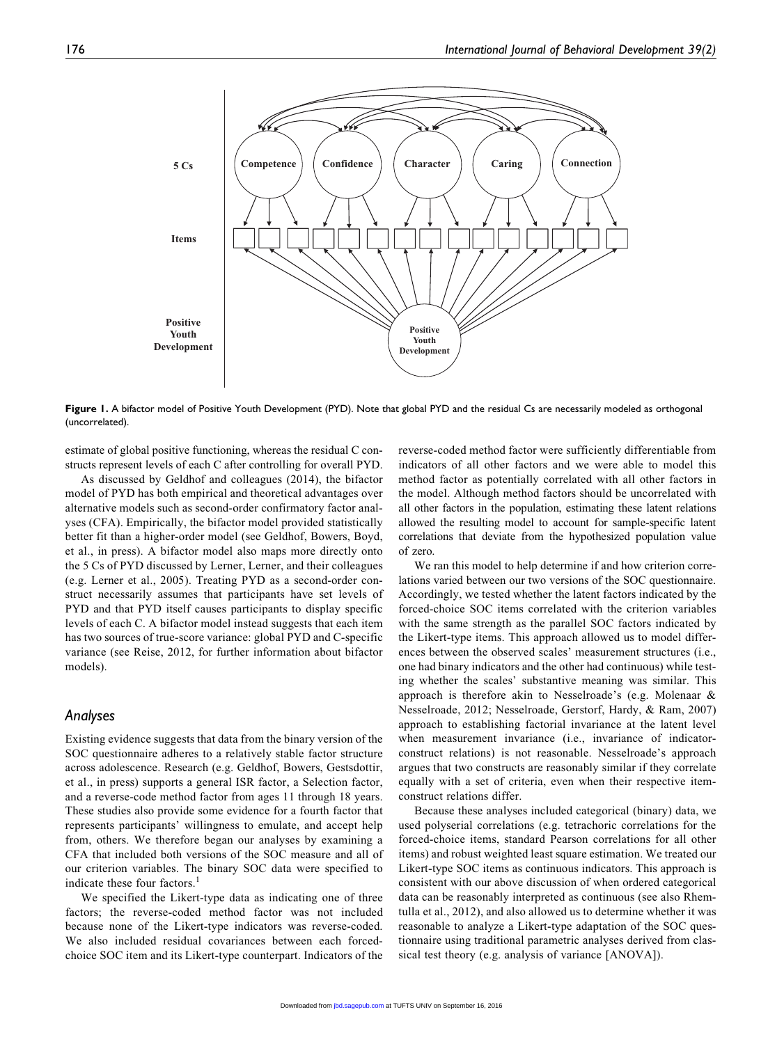

Figure 1. A bifactor model of Positive Youth Development (PYD). Note that global PYD and the residual Cs are necessarily modeled as orthogonal (uncorrelated).

estimate of global positive functioning, whereas the residual C constructs represent levels of each C after controlling for overall PYD.

As discussed by Geldhof and colleagues (2014), the bifactor model of PYD has both empirical and theoretical advantages over alternative models such as second-order confirmatory factor analyses (CFA). Empirically, the bifactor model provided statistically better fit than a higher-order model (see Geldhof, Bowers, Boyd, et al., in press). A bifactor model also maps more directly onto the 5 Cs of PYD discussed by Lerner, Lerner, and their colleagues (e.g. Lerner et al., 2005). Treating PYD as a second-order construct necessarily assumes that participants have set levels of PYD and that PYD itself causes participants to display specific levels of each C. A bifactor model instead suggests that each item has two sources of true-score variance: global PYD and C-specific variance (see Reise, 2012, for further information about bifactor models).

# Analyses

Existing evidence suggests that data from the binary version of the SOC questionnaire adheres to a relatively stable factor structure across adolescence. Research (e.g. Geldhof, Bowers, Gestsdottir, et al., in press) supports a general ISR factor, a Selection factor, and a reverse-code method factor from ages 11 through 18 years. These studies also provide some evidence for a fourth factor that represents participants' willingness to emulate, and accept help from, others. We therefore began our analyses by examining a CFA that included both versions of the SOC measure and all of our criterion variables. The binary SOC data were specified to indicate these four factors.<sup>1</sup>

We specified the Likert-type data as indicating one of three factors; the reverse-coded method factor was not included because none of the Likert-type indicators was reverse-coded. We also included residual covariances between each forcedchoice SOC item and its Likert-type counterpart. Indicators of the reverse-coded method factor were sufficiently differentiable from indicators of all other factors and we were able to model this method factor as potentially correlated with all other factors in the model. Although method factors should be uncorrelated with all other factors in the population, estimating these latent relations allowed the resulting model to account for sample-specific latent correlations that deviate from the hypothesized population value of zero.

We ran this model to help determine if and how criterion correlations varied between our two versions of the SOC questionnaire. Accordingly, we tested whether the latent factors indicated by the forced-choice SOC items correlated with the criterion variables with the same strength as the parallel SOC factors indicated by the Likert-type items. This approach allowed us to model differences between the observed scales' measurement structures (i.e., one had binary indicators and the other had continuous) while testing whether the scales' substantive meaning was similar. This approach is therefore akin to Nesselroade's (e.g. Molenaar & Nesselroade, 2012; Nesselroade, Gerstorf, Hardy, & Ram, 2007) approach to establishing factorial invariance at the latent level when measurement invariance (i.e., invariance of indicatorconstruct relations) is not reasonable. Nesselroade's approach argues that two constructs are reasonably similar if they correlate equally with a set of criteria, even when their respective itemconstruct relations differ.

Because these analyses included categorical (binary) data, we used polyserial correlations (e.g. tetrachoric correlations for the forced-choice items, standard Pearson correlations for all other items) and robust weighted least square estimation. We treated our Likert-type SOC items as continuous indicators. This approach is consistent with our above discussion of when ordered categorical data can be reasonably interpreted as continuous (see also Rhemtulla et al., 2012), and also allowed us to determine whether it was reasonable to analyze a Likert-type adaptation of the SOC questionnaire using traditional parametric analyses derived from classical test theory (e.g. analysis of variance [ANOVA]).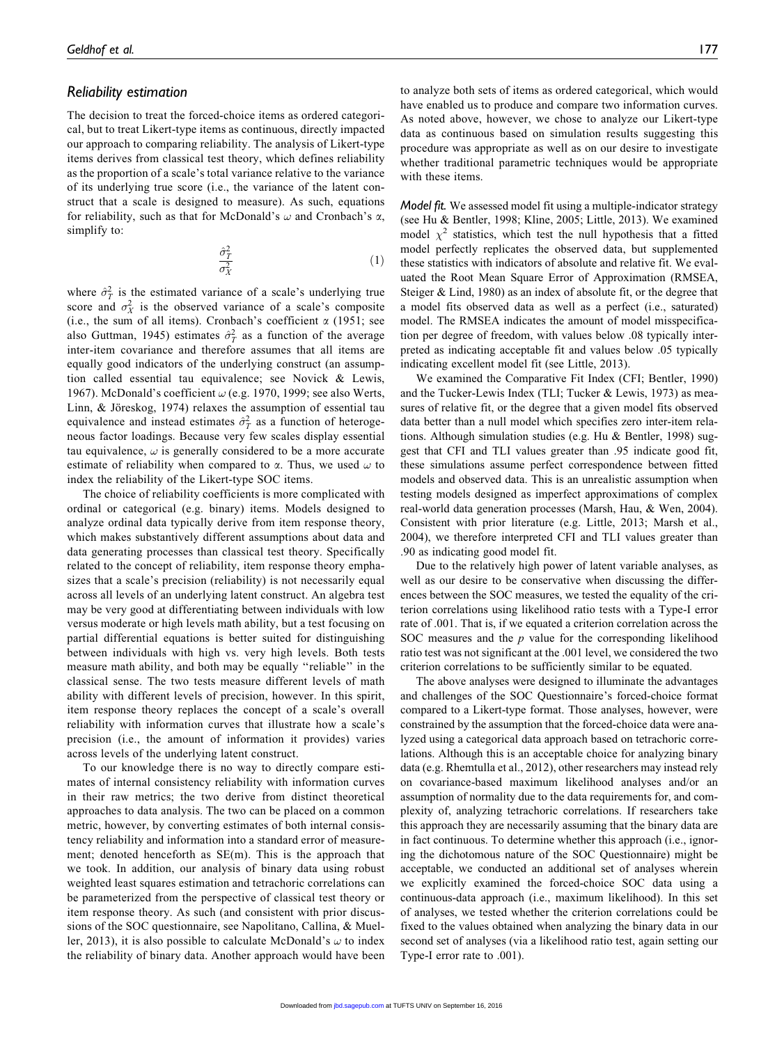### Reliability estimation

The decision to treat the forced-choice items as ordered categorical, but to treat Likert-type items as continuous, directly impacted our approach to comparing reliability. The analysis of Likert-type items derives from classical test theory, which defines reliability as the proportion of a scale's total variance relative to the variance of its underlying true score (i.e., the variance of the latent construct that a scale is designed to measure). As such, equations for reliability, such as that for McDonald's  $\omega$  and Cronbach's  $\alpha$ , simplify to:

$$
\frac{\hat{\sigma}_T^2}{\sigma_X^2} \tag{1}
$$

where  $\hat{\sigma}_T^2$  is the estimated variance of a scale's underlying true score and  $\sigma_X^2$  is the observed variance of a scale's composite (i.e., the sum of all items). Cronbach's coefficient  $\alpha$  (1951; see also Guttman, 1945) estimates  $\hat{\sigma}_T^2$  as a function of the average inter-item covariance and therefore assumes that all items are equally good indicators of the underlying construct (an assumption called essential tau equivalence; see Novick & Lewis, 1967). McDonald's coefficient  $\omega$  (e.g. 1970, 1999; see also Werts, Linn,  $&$  Jöreskog, 1974) relaxes the assumption of essential tau equivalence and instead estimates  $\hat{\sigma}_T^2$  as a function of heterogeneous factor loadings. Because very few scales display essential tau equivalence,  $\omega$  is generally considered to be a more accurate estimate of reliability when compared to  $\alpha$ . Thus, we used  $\omega$  to index the reliability of the Likert-type SOC items.

The choice of reliability coefficients is more complicated with ordinal or categorical (e.g. binary) items. Models designed to analyze ordinal data typically derive from item response theory, which makes substantively different assumptions about data and data generating processes than classical test theory. Specifically related to the concept of reliability, item response theory emphasizes that a scale's precision (reliability) is not necessarily equal across all levels of an underlying latent construct. An algebra test may be very good at differentiating between individuals with low versus moderate or high levels math ability, but a test focusing on partial differential equations is better suited for distinguishing between individuals with high vs. very high levels. Both tests measure math ability, and both may be equally ''reliable'' in the classical sense. The two tests measure different levels of math ability with different levels of precision, however. In this spirit, item response theory replaces the concept of a scale's overall reliability with information curves that illustrate how a scale's precision (i.e., the amount of information it provides) varies across levels of the underlying latent construct.

To our knowledge there is no way to directly compare estimates of internal consistency reliability with information curves in their raw metrics; the two derive from distinct theoretical approaches to data analysis. The two can be placed on a common metric, however, by converting estimates of both internal consistency reliability and information into a standard error of measurement; denoted henceforth as SE(m). This is the approach that we took. In addition, our analysis of binary data using robust weighted least squares estimation and tetrachoric correlations can be parameterized from the perspective of classical test theory or item response theory. As such (and consistent with prior discussions of the SOC questionnaire, see Napolitano, Callina, & Mueller, 2013), it is also possible to calculate McDonald's  $\omega$  to index the reliability of binary data. Another approach would have been

to analyze both sets of items as ordered categorical, which would have enabled us to produce and compare two information curves. As noted above, however, we chose to analyze our Likert-type data as continuous based on simulation results suggesting this procedure was appropriate as well as on our desire to investigate whether traditional parametric techniques would be appropriate with these items.

Model fit. We assessed model fit using a multiple-indicator strategy (see Hu & Bentler, 1998; Kline, 2005; Little, 2013). We examined model  $\chi^2$  statistics, which test the null hypothesis that a fitted model perfectly replicates the observed data, but supplemented these statistics with indicators of absolute and relative fit. We evaluated the Root Mean Square Error of Approximation (RMSEA, Steiger & Lind, 1980) as an index of absolute fit, or the degree that a model fits observed data as well as a perfect (i.e., saturated) model. The RMSEA indicates the amount of model misspecification per degree of freedom, with values below .08 typically interpreted as indicating acceptable fit and values below .05 typically indicating excellent model fit (see Little, 2013).

We examined the Comparative Fit Index (CFI; Bentler, 1990) and the Tucker-Lewis Index (TLI; Tucker & Lewis, 1973) as measures of relative fit, or the degree that a given model fits observed data better than a null model which specifies zero inter-item relations. Although simulation studies (e.g. Hu & Bentler, 1998) suggest that CFI and TLI values greater than .95 indicate good fit, these simulations assume perfect correspondence between fitted models and observed data. This is an unrealistic assumption when testing models designed as imperfect approximations of complex real-world data generation processes (Marsh, Hau, & Wen, 2004). Consistent with prior literature (e.g. Little, 2013; Marsh et al., 2004), we therefore interpreted CFI and TLI values greater than .90 as indicating good model fit.

Due to the relatively high power of latent variable analyses, as well as our desire to be conservative when discussing the differences between the SOC measures, we tested the equality of the criterion correlations using likelihood ratio tests with a Type-I error rate of .001. That is, if we equated a criterion correlation across the SOC measures and the  $p$  value for the corresponding likelihood ratio test was not significant at the .001 level, we considered the two criterion correlations to be sufficiently similar to be equated.

The above analyses were designed to illuminate the advantages and challenges of the SOC Questionnaire's forced-choice format compared to a Likert-type format. Those analyses, however, were constrained by the assumption that the forced-choice data were analyzed using a categorical data approach based on tetrachoric correlations. Although this is an acceptable choice for analyzing binary data (e.g. Rhemtulla et al., 2012), other researchers may instead rely on covariance-based maximum likelihood analyses and/or an assumption of normality due to the data requirements for, and complexity of, analyzing tetrachoric correlations. If researchers take this approach they are necessarily assuming that the binary data are in fact continuous. To determine whether this approach (i.e., ignoring the dichotomous nature of the SOC Questionnaire) might be acceptable, we conducted an additional set of analyses wherein we explicitly examined the forced-choice SOC data using a continuous-data approach (i.e., maximum likelihood). In this set of analyses, we tested whether the criterion correlations could be fixed to the values obtained when analyzing the binary data in our second set of analyses (via a likelihood ratio test, again setting our Type-I error rate to .001).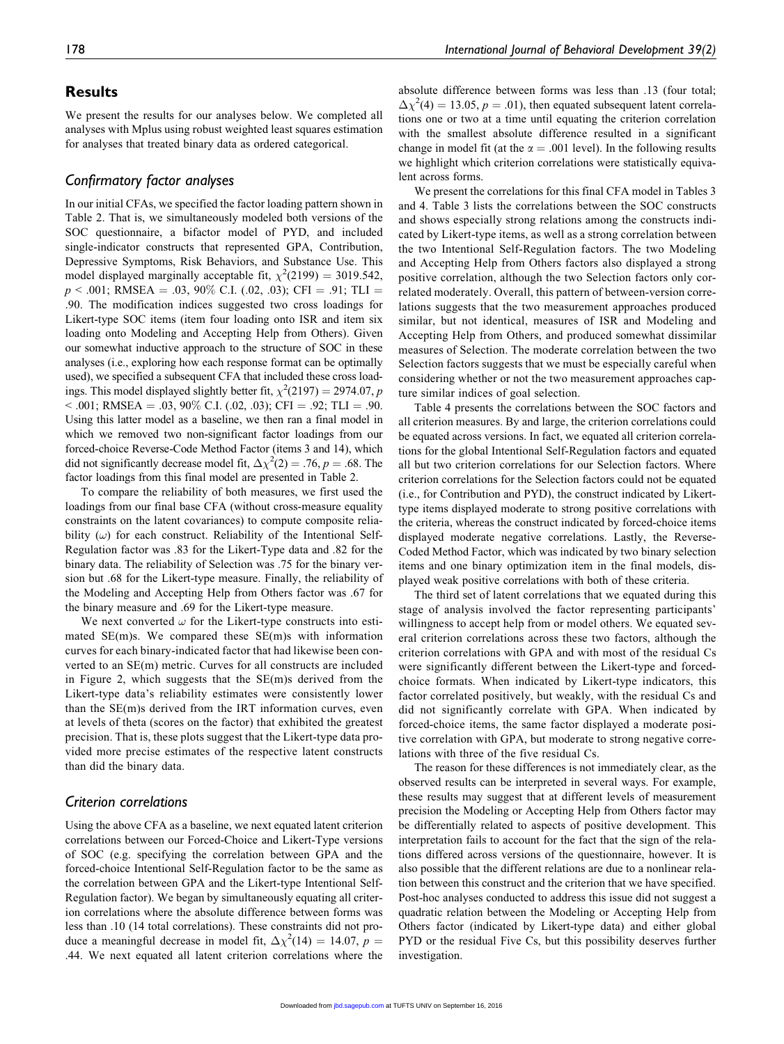# **Results**

We present the results for our analyses below. We completed all analyses with Mplus using robust weighted least squares estimation for analyses that treated binary data as ordered categorical.

# Confirmatory factor analyses

In our initial CFAs, we specified the factor loading pattern shown in Table 2. That is, we simultaneously modeled both versions of the SOC questionnaire, a bifactor model of PYD, and included single-indicator constructs that represented GPA, Contribution, Depressive Symptoms, Risk Behaviors, and Substance Use. This model displayed marginally acceptable fit,  $\chi^2(2199) = 3019.542$ ,  $p \leq .001$ ; RMSEA = .03, 90% C.I. (.02, .03); CFI = .91; TLI = .90. The modification indices suggested two cross loadings for Likert-type SOC items (item four loading onto ISR and item six loading onto Modeling and Accepting Help from Others). Given our somewhat inductive approach to the structure of SOC in these analyses (i.e., exploring how each response format can be optimally used), we specified a subsequent CFA that included these cross loadings. This model displayed slightly better fit,  $\chi^2(2197) = 2974.07$ , p  $< .001$ ; RMSEA = .03, 90% C.I. (.02, .03); CFI = .92; TLI = .90. Using this latter model as a baseline, we then ran a final model in which we removed two non-significant factor loadings from our forced-choice Reverse-Code Method Factor (items 3 and 14), which did not significantly decrease model fit,  $\Delta \chi^2(2) = .76$ ,  $p = .68$ . The factor loadings from this final model are presented in Table 2.

To compare the reliability of both measures, we first used the loadings from our final base CFA (without cross-measure equality constraints on the latent covariances) to compute composite reliability  $(\omega)$  for each construct. Reliability of the Intentional Self-Regulation factor was .83 for the Likert-Type data and .82 for the binary data. The reliability of Selection was .75 for the binary version but .68 for the Likert-type measure. Finally, the reliability of the Modeling and Accepting Help from Others factor was .67 for the binary measure and .69 for the Likert-type measure.

We next converted  $\omega$  for the Likert-type constructs into estimated SE(m)s. We compared these SE(m)s with information curves for each binary-indicated factor that had likewise been converted to an SE(m) metric. Curves for all constructs are included in Figure 2, which suggests that the SE(m)s derived from the Likert-type data's reliability estimates were consistently lower than the SE(m)s derived from the IRT information curves, even at levels of theta (scores on the factor) that exhibited the greatest precision. That is, these plots suggest that the Likert-type data provided more precise estimates of the respective latent constructs than did the binary data.

### Criterion correlations

Using the above CFA as a baseline, we next equated latent criterion correlations between our Forced-Choice and Likert-Type versions of SOC (e.g. specifying the correlation between GPA and the forced-choice Intentional Self-Regulation factor to be the same as the correlation between GPA and the Likert-type Intentional Self-Regulation factor). We began by simultaneously equating all criterion correlations where the absolute difference between forms was less than .10 (14 total correlations). These constraints did not produce a meaningful decrease in model fit,  $\Delta \chi^2(14) = 14.07$ ,  $p =$ .44. We next equated all latent criterion correlations where the absolute difference between forms was less than .13 (four total;  $\Delta \chi^2(4) = 13.05, p = .01$ , then equated subsequent latent correlations one or two at a time until equating the criterion correlation with the smallest absolute difference resulted in a significant change in model fit (at the  $\alpha = .001$  level). In the following results we highlight which criterion correlations were statistically equivalent across forms.

We present the correlations for this final CFA model in Tables 3 and 4. Table 3 lists the correlations between the SOC constructs and shows especially strong relations among the constructs indicated by Likert-type items, as well as a strong correlation between the two Intentional Self-Regulation factors. The two Modeling and Accepting Help from Others factors also displayed a strong positive correlation, although the two Selection factors only correlated moderately. Overall, this pattern of between-version correlations suggests that the two measurement approaches produced similar, but not identical, measures of ISR and Modeling and Accepting Help from Others, and produced somewhat dissimilar measures of Selection. The moderate correlation between the two Selection factors suggests that we must be especially careful when considering whether or not the two measurement approaches capture similar indices of goal selection.

Table 4 presents the correlations between the SOC factors and all criterion measures. By and large, the criterion correlations could be equated across versions. In fact, we equated all criterion correlations for the global Intentional Self-Regulation factors and equated all but two criterion correlations for our Selection factors. Where criterion correlations for the Selection factors could not be equated (i.e., for Contribution and PYD), the construct indicated by Likerttype items displayed moderate to strong positive correlations with the criteria, whereas the construct indicated by forced-choice items displayed moderate negative correlations. Lastly, the Reverse-Coded Method Factor, which was indicated by two binary selection items and one binary optimization item in the final models, displayed weak positive correlations with both of these criteria.

The third set of latent correlations that we equated during this stage of analysis involved the factor representing participants' willingness to accept help from or model others. We equated several criterion correlations across these two factors, although the criterion correlations with GPA and with most of the residual Cs were significantly different between the Likert-type and forcedchoice formats. When indicated by Likert-type indicators, this factor correlated positively, but weakly, with the residual Cs and did not significantly correlate with GPA. When indicated by forced-choice items, the same factor displayed a moderate positive correlation with GPA, but moderate to strong negative correlations with three of the five residual Cs.

The reason for these differences is not immediately clear, as the observed results can be interpreted in several ways. For example, these results may suggest that at different levels of measurement precision the Modeling or Accepting Help from Others factor may be differentially related to aspects of positive development. This interpretation fails to account for the fact that the sign of the relations differed across versions of the questionnaire, however. It is also possible that the different relations are due to a nonlinear relation between this construct and the criterion that we have specified. Post-hoc analyses conducted to address this issue did not suggest a quadratic relation between the Modeling or Accepting Help from Others factor (indicated by Likert-type data) and either global PYD or the residual Five Cs, but this possibility deserves further investigation.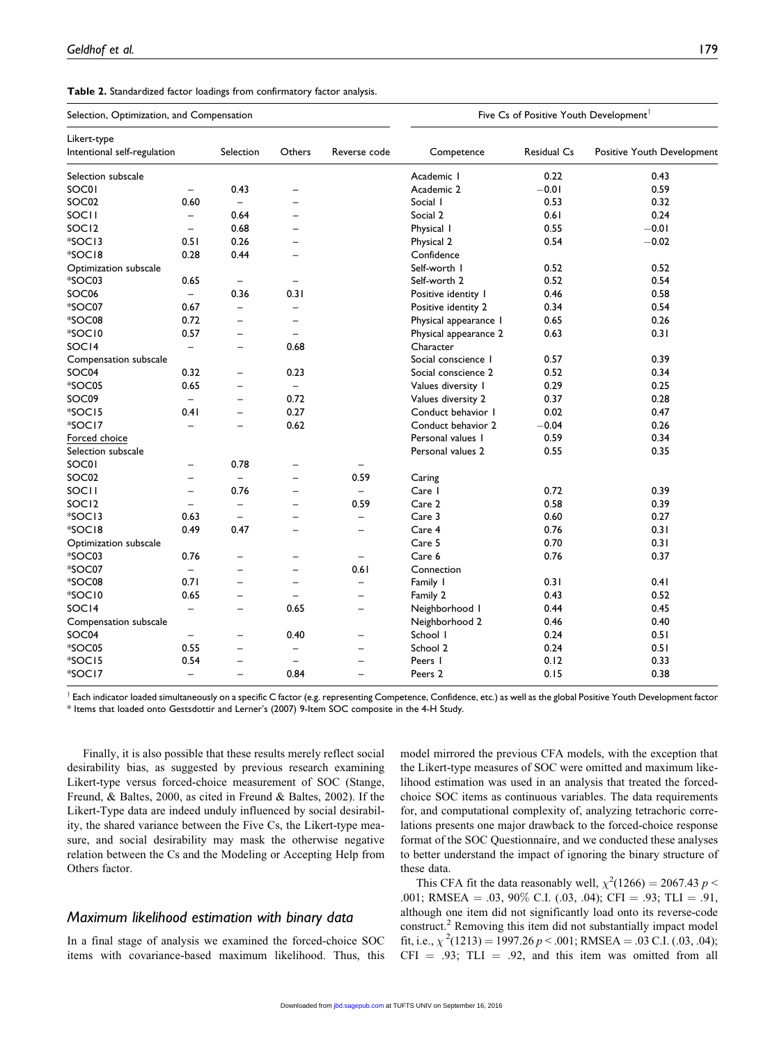| Table 2. Standardized factor loadings from confirmatory factor analysis. |  |  |  |
|--------------------------------------------------------------------------|--|--|--|
|--------------------------------------------------------------------------|--|--|--|

| Selection, Optimization, and Compensation                        |                          |                          |                          |                          | Five Cs of Positive Youth Development <sup>†</sup> |             |                            |  |
|------------------------------------------------------------------|--------------------------|--------------------------|--------------------------|--------------------------|----------------------------------------------------|-------------|----------------------------|--|
| Likert-type<br>Intentional self-regulation<br>Selection subscale |                          | Selection                | Others                   | Reverse code             | Competence                                         | Residual Cs | Positive Youth Development |  |
|                                                                  |                          |                          |                          |                          | Academic 1                                         | 0.22        | 0.43                       |  |
| SOC01                                                            | $\qquad \qquad -$        | 0.43                     | $\overline{\phantom{0}}$ |                          | Academic 2                                         | $-0.01$     | 0.59                       |  |
| SOC02                                                            | 0.60                     | $\overline{\phantom{0}}$ |                          |                          | Social I                                           | 0.53        | 0.32                       |  |
| SOCII                                                            | $\overline{\phantom{m}}$ | 0.64                     | $\equiv$                 |                          | Social 2                                           | 0.61        | 0.24                       |  |
| SOC <sub>12</sub>                                                | $\overline{\phantom{m}}$ | 0.68                     | $\overline{\phantom{a}}$ |                          | Physical I                                         | 0.55        | $-0.01$                    |  |
| *SOC13                                                           | 0.51                     | 0.26                     | $\equiv$                 |                          | Physical 2                                         | 0.54        | $-0.02$                    |  |
| *SOC18                                                           | 0.28                     | 0.44                     |                          |                          | Confidence                                         |             |                            |  |
| Optimization subscale                                            |                          |                          |                          |                          | Self-worth I                                       | 0.52        | 0.52                       |  |
| *SOC03                                                           | 0.65                     | $\qquad \qquad -$        |                          |                          | Self-worth 2                                       | 0.52        | 0.54                       |  |
| SOC06                                                            | $\equiv$                 | 0.36                     | 0.31                     |                          | Positive identity I                                | 0.46        | 0.58                       |  |
| *SOC07                                                           | 0.67                     | $\overline{\phantom{0}}$ | $\equiv$                 |                          | Positive identity 2                                | 0.34        | 0.54                       |  |
| *SOC08                                                           | 0.72                     | $\qquad \qquad -$        | $\qquad \qquad$          |                          | Physical appearance I                              | 0.65        | 0.26                       |  |
| *SOC10                                                           | 0.57                     | $\overline{\phantom{0}}$ | $\equiv$                 |                          | Physical appearance 2                              | 0.63        | 0.31                       |  |
| SOC14                                                            | $\qquad \qquad -$        | $\equiv$                 | 0.68                     |                          | Character                                          |             |                            |  |
| Compensation subscale                                            |                          |                          |                          |                          | Social conscience I                                | 0.57        | 0.39                       |  |
| SOC04                                                            | 0.32                     | $\overline{\phantom{0}}$ | 0.23                     |                          | Social conscience 2                                | 0.52        | 0.34                       |  |
| *SOC05                                                           | 0.65                     | $\equiv$                 | $\equiv$                 |                          | Values diversity I                                 | 0.29        | 0.25                       |  |
| SOC09                                                            | $\equiv$                 | $\equiv$                 | 0.72                     |                          | 0.37<br>Values diversity 2                         |             | 0.28                       |  |
| *SOC15                                                           | 0.41                     | $\overline{\phantom{0}}$ | 0.27                     |                          | 0.02<br>Conduct behavior 1                         |             | 0.47                       |  |
| *SOCI7                                                           | $\overline{\phantom{m}}$ | $\overline{\phantom{0}}$ | 0.62                     |                          | Conduct behavior 2                                 | $-0.04$     | 0.26                       |  |
| Forced choice                                                    |                          |                          |                          |                          | Personal values 1                                  | 0.59        | 0.34                       |  |
| Selection subscale                                               |                          |                          |                          |                          | Personal values 2                                  | 0.55        | 0.35                       |  |
| SOC01                                                            | $\qquad \qquad -$        | 0.78                     | —                        |                          |                                                    |             |                            |  |
| SOC02                                                            | $\overline{\phantom{0}}$ | $\overline{\phantom{0}}$ | $\overline{\phantom{0}}$ | 0.59                     | Caring                                             |             |                            |  |
| SOCII                                                            | $\overline{\phantom{m}}$ | 0.76                     |                          | $\overline{\phantom{m}}$ | Care I                                             | 0.72        | 0.39                       |  |
| SOC <sub>12</sub>                                                | $\overline{\phantom{m}}$ | $\equiv$                 | $\equiv$                 | 0.59                     | Care 2                                             | 0.58        | 0.39                       |  |
| *SOC13                                                           | 0.63                     | $\overline{\phantom{0}}$ |                          | $\overline{\phantom{0}}$ | Care 3                                             | 0.60        | 0.27                       |  |
| *SOC18                                                           | 0.49                     | 0.47                     | $\overline{\phantom{0}}$ | $\overline{\phantom{0}}$ | Care 4                                             | 0.76        | 0.31                       |  |
| Optimization subscale                                            |                          |                          |                          |                          | Care 5                                             | 0.70        | 0.31                       |  |
| *SOC03                                                           | 0.76                     | $\overline{\phantom{0}}$ | $\overline{\phantom{0}}$ |                          | Care 6                                             | 0.76        | 0.37                       |  |
| *SOC07                                                           | $\qquad \qquad -$        | $\overline{\phantom{0}}$ | $\overline{\phantom{0}}$ | 0.61                     | Connection                                         |             |                            |  |
| *SOC08                                                           | 0.71                     | $\overline{\phantom{0}}$ | $\overline{\phantom{0}}$ | $\overline{\phantom{m}}$ | Family 1                                           | 0.31        | 0.41                       |  |
| *SOC10                                                           | 0.65                     | $\equiv$                 | $\equiv$                 | $-$                      | Family 2                                           | 0.43        | 0.52                       |  |
| SOC14                                                            | $\equiv$                 | $\overline{\phantom{0}}$ | 0.65                     | $\overline{\phantom{m}}$ | Neighborhood I                                     | 0.44        | 0.45                       |  |
| Compensation subscale                                            |                          |                          |                          |                          | Neighborhood 2                                     | 0.46        | 0.40                       |  |
| SOC04                                                            | $\overline{\phantom{m}}$ | $\overline{\phantom{0}}$ | 0.40                     | $\overline{\phantom{m}}$ | School I                                           | 0.24        | 0.51                       |  |
| *SOC05                                                           | 0.55                     | $\overline{\phantom{0}}$ |                          | $\overline{\phantom{0}}$ | School 2                                           | 0.24        | 0.51                       |  |
| *SOC15                                                           | 0.54                     | $\overline{\phantom{0}}$ |                          |                          | Peers I                                            | 0.12        | 0.33                       |  |
| *SOCI7                                                           | $\overline{\phantom{0}}$ | $\overline{\phantom{0}}$ | 0.84                     | $\overline{\phantom{0}}$ | Peers 2                                            | 0.15        | 0.38                       |  |

 $^\dagger$  Each indicator loaded simultaneously on a specific C factor (e.g. representing Competence, Confidence, etc.) as well as the global Positive Youth Development factor \* Items that loaded onto Gestsdottir and Lerner's (2007) 9-Item SOC composite in the 4-H Study.

Finally, it is also possible that these results merely reflect social desirability bias, as suggested by previous research examining Likert-type versus forced-choice measurement of SOC (Stange, Freund, & Baltes, 2000, as cited in Freund & Baltes, 2002). If the Likert-Type data are indeed unduly influenced by social desirability, the shared variance between the Five Cs, the Likert-type measure, and social desirability may mask the otherwise negative relation between the Cs and the Modeling or Accepting Help from Others factor.

# Maximum likelihood estimation with binary data

In a final stage of analysis we examined the forced-choice SOC items with covariance-based maximum likelihood. Thus, this model mirrored the previous CFA models, with the exception that the Likert-type measures of SOC were omitted and maximum likelihood estimation was used in an analysis that treated the forcedchoice SOC items as continuous variables. The data requirements for, and computational complexity of, analyzing tetrachoric correlations presents one major drawback to the forced-choice response format of the SOC Questionnaire, and we conducted these analyses to better understand the impact of ignoring the binary structure of these data.

This CFA fit the data reasonably well,  $\chi^2(1266) = 2067.43 \ p \leq 100$ .001; RMSEA = .03, 90% C.I. (.03, .04); CFI = .93; TLI = .91, although one item did not significantly load onto its reverse-code construct.<sup>2</sup> Removing this item did not substantially impact model fit, i.e.,  $\chi^2(1213) = 1997.26 p < .001$ ; RMSEA = .03 C.I. (.03, .04);  $CFI = .93$ ;  $TLI = .92$ , and this item was omitted from all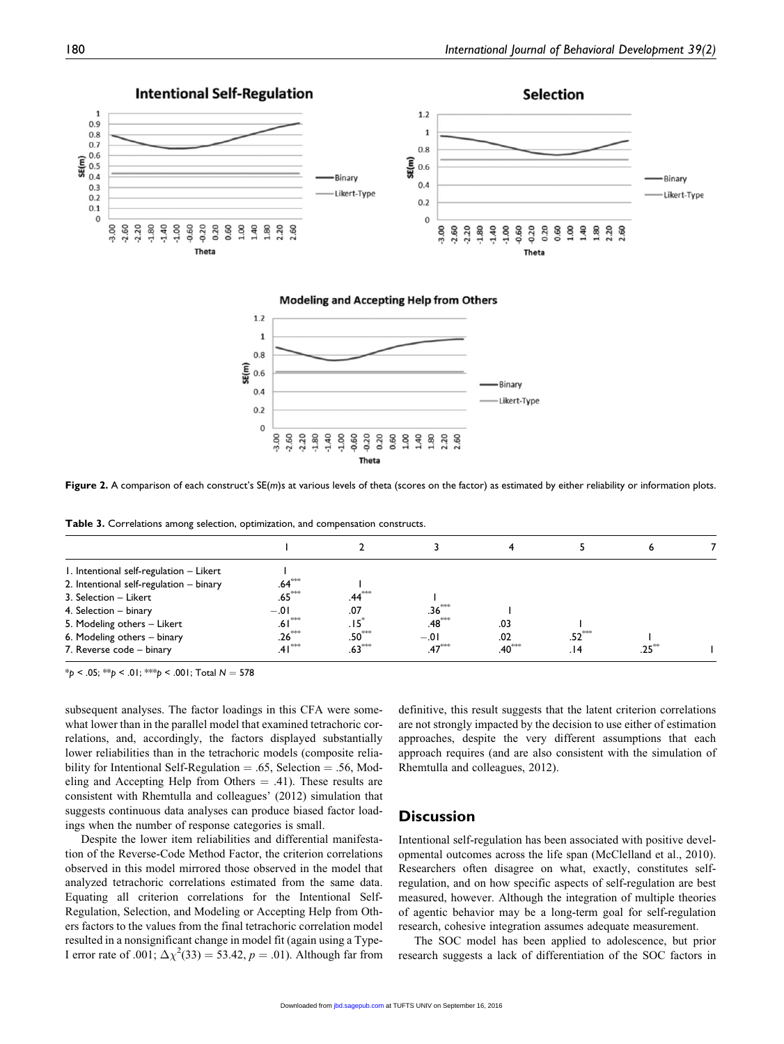

**Modeling and Accepting Help from Others** 



Figure 2. A comparison of each construct's SE(m)s at various levels of theta (scores on the factor) as estimated by either reliability or information plots.

|                                         |                       |                     |                     |          |          | 6         |  |
|-----------------------------------------|-----------------------|---------------------|---------------------|----------|----------|-----------|--|
| 1. Intentional self-regulation - Likert |                       |                     |                     |          |          |           |  |
| 2. Intentional self-regulation - binary | $.64$ ***             |                     |                     |          |          |           |  |
| 3. Selection - Likert                   | $.65***$              | $.44$ ***           |                     |          |          |           |  |
| 4. Selection - binary                   | $-.01$                | .07                 | $.36$ <sup>**</sup> |          |          |           |  |
| 5. Modeling others - Likert             | $.61$ <sup>****</sup> | .15 <sup>2</sup>    | .48                 | .03      |          |           |  |
| 6. Modeling others - binary             | $.26***$              | $.50^{\text{*obs}}$ | $-.01$              | .02      | $.52***$ |           |  |
| 7. Reverse code - binary                | $.41$ <sup>***</sup>  | $.63***$            | .47                 | $.40$ ** | 14.      | $25^{**}$ |  |

\*p < .05; \*\*p < .01; \*\*\*p < .001; Total  $N = 578$ 

subsequent analyses. The factor loadings in this CFA were somewhat lower than in the parallel model that examined tetrachoric correlations, and, accordingly, the factors displayed substantially lower reliabilities than in the tetrachoric models (composite reliability for Intentional Self-Regulation  $= .65$ , Selection  $= .56$ , Modeling and Accepting Help from Others  $= .41$ ). These results are consistent with Rhemtulla and colleagues' (2012) simulation that suggests continuous data analyses can produce biased factor loadings when the number of response categories is small.

Despite the lower item reliabilities and differential manifestation of the Reverse-Code Method Factor, the criterion correlations observed in this model mirrored those observed in the model that analyzed tetrachoric correlations estimated from the same data. Equating all criterion correlations for the Intentional Self-Regulation, Selection, and Modeling or Accepting Help from Others factors to the values from the final tetrachoric correlation model resulted in a nonsignificant change in model fit (again using a Type-I error rate of .001;  $\Delta \chi^2(33) = 53.42$ ,  $p = .01$ ). Although far from

definitive, this result suggests that the latent criterion correlations are not strongly impacted by the decision to use either of estimation approaches, despite the very different assumptions that each approach requires (and are also consistent with the simulation of Rhemtulla and colleagues, 2012).

# **Discussion**

Intentional self-regulation has been associated with positive developmental outcomes across the life span (McClelland et al., 2010). Researchers often disagree on what, exactly, constitutes selfregulation, and on how specific aspects of self-regulation are best measured, however. Although the integration of multiple theories of agentic behavior may be a long-term goal for self-regulation research, cohesive integration assumes adequate measurement.

The SOC model has been applied to adolescence, but prior research suggests a lack of differentiation of the SOC factors in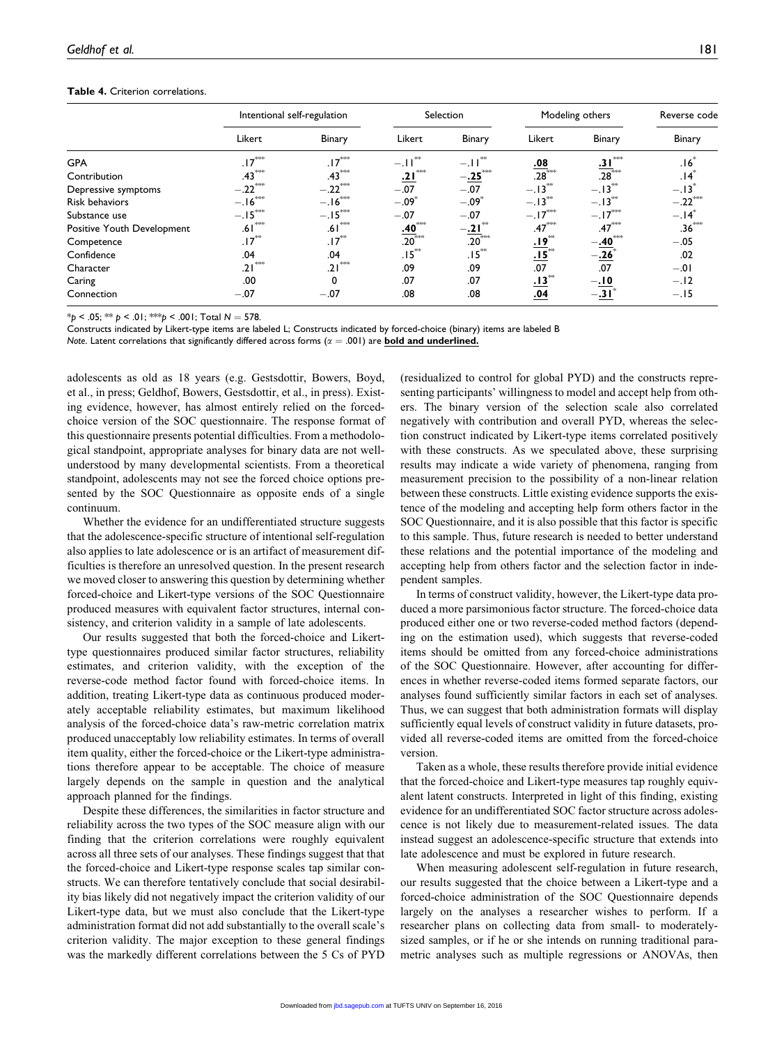#### Table 4. Criterion correlations.

|                            | Intentional self-regulation |                       |                      | Selection           | Modeling others          |                       | Reverse code        |  |
|----------------------------|-----------------------------|-----------------------|----------------------|---------------------|--------------------------|-----------------------|---------------------|--|
|                            | Likert                      | Binary                | Likert               | Binary              | Likert                   | Binary                | Binary              |  |
| <b>GPA</b>                 | $.17***$                    | $.17$ <sup>***</sup>  | $-.11$ <sup>**</sup> | $-.11$              |                          | <u>.31</u>            | .16                 |  |
| Contribution               | $.43***$                    | $.43$ <sup>****</sup> | <u>.21</u>           |                     | $\frac{.08}{.28}$        | $.28***$              | 14.                 |  |
| Depressive symptoms        | $-.22$ <sup>***</sup>       | $-.22$ <sup>***</sup> | $-.07$               | $\frac{-.25}{-.07}$ | $-.13***$                | $-.13***$             | $-.13$              |  |
| <b>Risk behaviors</b>      | $-.16$                      | $-.16$ <sup>***</sup> | $-.09^*$             | $-.09$              | $-.13$ <sup>**</sup>     | $-.13***$             | $-.22$              |  |
| Substance use              | $-.15$                      | $-.15$                | $-.07$               | $-.07$              | $-.17$                   | $-.17$                | $-.14$ <sup>*</sup> |  |
| Positive Youth Development | .61                         | .6 $1^{*}$            | $\frac{.40}{.20}$    |                     | $.47$ <sup>***</sup>     | $.47$ <sup>****</sup> | .36 <sup>°</sup>    |  |
| Competence                 | $.17***$                    | .l $7^{**}$           |                      | $\frac{-.21}{.20}$  | $\frac{.19}{.15}$        | $-40$ <sup>***</sup>  | $-.05$              |  |
| Confidence                 | .04                         | .04                   | $.15***$             | $.15***$            |                          | $-26$                 | .02                 |  |
| Character                  | $.21$ <sup>***</sup>        | $.21$ <sup>****</sup> | .09                  | .09                 | .07                      | .07                   | $-.01$              |  |
| Caring                     | .00                         | 0                     | .07                  | .07                 | $\cdot$ 13 <sup>**</sup> |                       | $-.12$              |  |
| Connection                 | $-.07$                      | $-.07$                | .08                  | .08                 | .04                      |                       | $-.15$              |  |

 $*_{p}$  < .05;  $*_{p}$  < .01;  $*_{p}$  < .001; Total N = 578.

Constructs indicated by Likert-type items are labeled L; Constructs indicated by forced-choice (binary) items are labeled B

Note. Latent correlations that significantly differed across forms ( $\alpha = .001$ ) are **bold and underlined.** 

adolescents as old as 18 years (e.g. Gestsdottir, Bowers, Boyd, et al., in press; Geldhof, Bowers, Gestsdottir, et al., in press). Existing evidence, however, has almost entirely relied on the forcedchoice version of the SOC questionnaire. The response format of this questionnaire presents potential difficulties. From a methodological standpoint, appropriate analyses for binary data are not wellunderstood by many developmental scientists. From a theoretical standpoint, adolescents may not see the forced choice options presented by the SOC Questionnaire as opposite ends of a single continuum.

Whether the evidence for an undifferentiated structure suggests that the adolescence-specific structure of intentional self-regulation also applies to late adolescence or is an artifact of measurement difficulties is therefore an unresolved question. In the present research we moved closer to answering this question by determining whether forced-choice and Likert-type versions of the SOC Questionnaire produced measures with equivalent factor structures, internal consistency, and criterion validity in a sample of late adolescents.

Our results suggested that both the forced-choice and Likerttype questionnaires produced similar factor structures, reliability estimates, and criterion validity, with the exception of the reverse-code method factor found with forced-choice items. In addition, treating Likert-type data as continuous produced moderately acceptable reliability estimates, but maximum likelihood analysis of the forced-choice data's raw-metric correlation matrix produced unacceptably low reliability estimates. In terms of overall item quality, either the forced-choice or the Likert-type administrations therefore appear to be acceptable. The choice of measure largely depends on the sample in question and the analytical approach planned for the findings.

Despite these differences, the similarities in factor structure and reliability across the two types of the SOC measure align with our finding that the criterion correlations were roughly equivalent across all three sets of our analyses. These findings suggest that that the forced-choice and Likert-type response scales tap similar constructs. We can therefore tentatively conclude that social desirability bias likely did not negatively impact the criterion validity of our Likert-type data, but we must also conclude that the Likert-type administration format did not add substantially to the overall scale's criterion validity. The major exception to these general findings was the markedly different correlations between the 5 Cs of PYD

(residualized to control for global PYD) and the constructs representing participants' willingness to model and accept help from others. The binary version of the selection scale also correlated negatively with contribution and overall PYD, whereas the selection construct indicated by Likert-type items correlated positively with these constructs. As we speculated above, these surprising results may indicate a wide variety of phenomena, ranging from measurement precision to the possibility of a non-linear relation between these constructs. Little existing evidence supports the existence of the modeling and accepting help form others factor in the SOC Questionnaire, and it is also possible that this factor is specific to this sample. Thus, future research is needed to better understand these relations and the potential importance of the modeling and accepting help from others factor and the selection factor in independent samples.

In terms of construct validity, however, the Likert-type data produced a more parsimonious factor structure. The forced-choice data produced either one or two reverse-coded method factors (depending on the estimation used), which suggests that reverse-coded items should be omitted from any forced-choice administrations of the SOC Questionnaire. However, after accounting for differences in whether reverse-coded items formed separate factors, our analyses found sufficiently similar factors in each set of analyses. Thus, we can suggest that both administration formats will display sufficiently equal levels of construct validity in future datasets, provided all reverse-coded items are omitted from the forced-choice version.

Taken as a whole, these results therefore provide initial evidence that the forced-choice and Likert-type measures tap roughly equivalent latent constructs. Interpreted in light of this finding, existing evidence for an undifferentiated SOC factor structure across adolescence is not likely due to measurement-related issues. The data instead suggest an adolescence-specific structure that extends into late adolescence and must be explored in future research.

When measuring adolescent self-regulation in future research, our results suggested that the choice between a Likert-type and a forced-choice administration of the SOC Questionnaire depends largely on the analyses a researcher wishes to perform. If a researcher plans on collecting data from small- to moderatelysized samples, or if he or she intends on running traditional parametric analyses such as multiple regressions or ANOVAs, then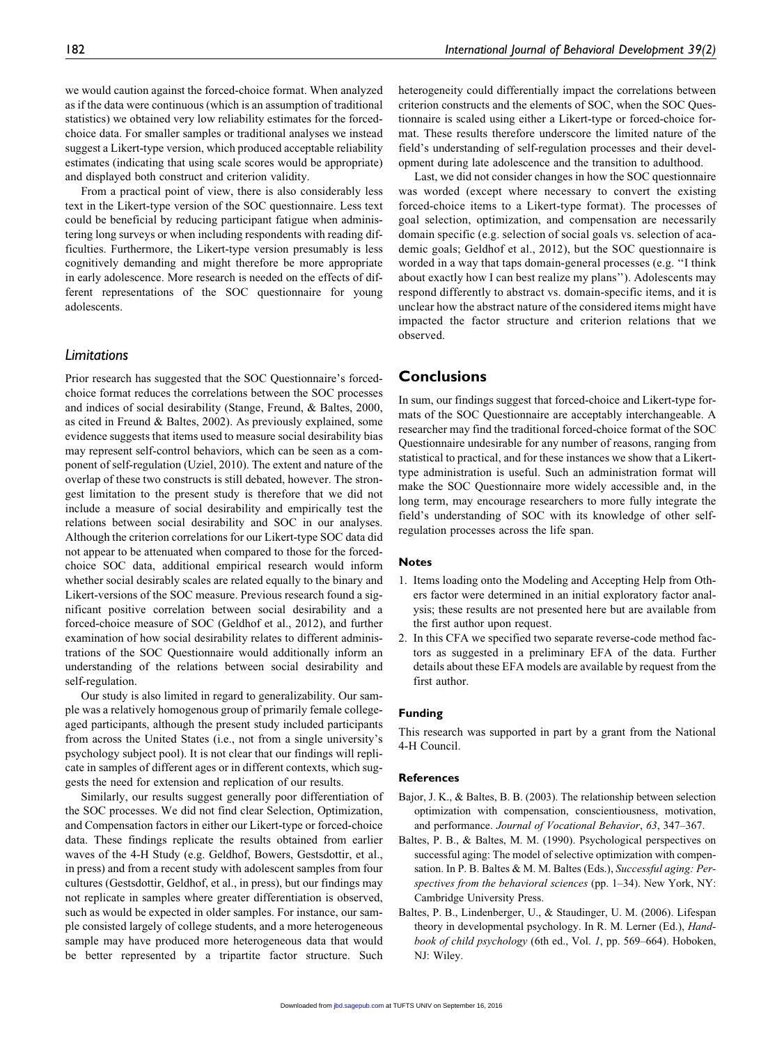we would caution against the forced-choice format. When analyzed as if the data were continuous (which is an assumption of traditional statistics) we obtained very low reliability estimates for the forcedchoice data. For smaller samples or traditional analyses we instead suggest a Likert-type version, which produced acceptable reliability estimates (indicating that using scale scores would be appropriate) and displayed both construct and criterion validity.

From a practical point of view, there is also considerably less text in the Likert-type version of the SOC questionnaire. Less text could be beneficial by reducing participant fatigue when administering long surveys or when including respondents with reading difficulties. Furthermore, the Likert-type version presumably is less cognitively demanding and might therefore be more appropriate in early adolescence. More research is needed on the effects of different representations of the SOC questionnaire for young adolescents.

# Limitations

Prior research has suggested that the SOC Questionnaire's forcedchoice format reduces the correlations between the SOC processes and indices of social desirability (Stange, Freund, & Baltes, 2000, as cited in Freund & Baltes, 2002). As previously explained, some evidence suggests that items used to measure social desirability bias may represent self-control behaviors, which can be seen as a component of self-regulation (Uziel, 2010). The extent and nature of the overlap of these two constructs is still debated, however. The strongest limitation to the present study is therefore that we did not include a measure of social desirability and empirically test the relations between social desirability and SOC in our analyses. Although the criterion correlations for our Likert-type SOC data did not appear to be attenuated when compared to those for the forcedchoice SOC data, additional empirical research would inform whether social desirably scales are related equally to the binary and Likert-versions of the SOC measure. Previous research found a significant positive correlation between social desirability and a forced-choice measure of SOC (Geldhof et al., 2012), and further examination of how social desirability relates to different administrations of the SOC Questionnaire would additionally inform an understanding of the relations between social desirability and self-regulation.

Our study is also limited in regard to generalizability. Our sample was a relatively homogenous group of primarily female collegeaged participants, although the present study included participants from across the United States (i.e., not from a single university's psychology subject pool). It is not clear that our findings will replicate in samples of different ages or in different contexts, which suggests the need for extension and replication of our results.

Similarly, our results suggest generally poor differentiation of the SOC processes. We did not find clear Selection, Optimization, and Compensation factors in either our Likert-type or forced-choice data. These findings replicate the results obtained from earlier waves of the 4-H Study (e.g. Geldhof, Bowers, Gestsdottir, et al., in press) and from a recent study with adolescent samples from four cultures (Gestsdottir, Geldhof, et al., in press), but our findings may not replicate in samples where greater differentiation is observed, such as would be expected in older samples. For instance, our sample consisted largely of college students, and a more heterogeneous sample may have produced more heterogeneous data that would be better represented by a tripartite factor structure. Such heterogeneity could differentially impact the correlations between criterion constructs and the elements of SOC, when the SOC Questionnaire is scaled using either a Likert-type or forced-choice format. These results therefore underscore the limited nature of the field's understanding of self-regulation processes and their development during late adolescence and the transition to adulthood.

Last, we did not consider changes in how the SOC questionnaire was worded (except where necessary to convert the existing forced-choice items to a Likert-type format). The processes of goal selection, optimization, and compensation are necessarily domain specific (e.g. selection of social goals vs. selection of academic goals; Geldhof et al., 2012), but the SOC questionnaire is worded in a way that taps domain-general processes (e.g. ''I think about exactly how I can best realize my plans''). Adolescents may respond differently to abstract vs. domain-specific items, and it is unclear how the abstract nature of the considered items might have impacted the factor structure and criterion relations that we observed.

# **Conclusions**

In sum, our findings suggest that forced-choice and Likert-type formats of the SOC Questionnaire are acceptably interchangeable. A researcher may find the traditional forced-choice format of the SOC Questionnaire undesirable for any number of reasons, ranging from statistical to practical, and for these instances we show that a Likerttype administration is useful. Such an administration format will make the SOC Questionnaire more widely accessible and, in the long term, may encourage researchers to more fully integrate the field's understanding of SOC with its knowledge of other selfregulation processes across the life span.

#### **Notes**

- 1. Items loading onto the Modeling and Accepting Help from Others factor were determined in an initial exploratory factor analysis; these results are not presented here but are available from the first author upon request.
- 2. In this CFA we specified two separate reverse-code method factors as suggested in a preliminary EFA of the data. Further details about these EFA models are available by request from the first author.

#### Funding

This research was supported in part by a grant from the National 4-H Council.

#### **References**

- Bajor, J. K., & Baltes, B. B. (2003). The relationship between selection optimization with compensation, conscientiousness, motivation, and performance. Journal of Vocational Behavior, 63, 347–367.
- Baltes, P. B., & Baltes, M. M. (1990). Psychological perspectives on successful aging: The model of selective optimization with compensation. In P. B. Baltes & M. M. Baltes (Eds.), Successful aging: Perspectives from the behavioral sciences (pp. 1–34). New York, NY: Cambridge University Press.
- Baltes, P. B., Lindenberger, U., & Staudinger, U. M. (2006). Lifespan theory in developmental psychology. In R. M. Lerner (Ed.), Handbook of child psychology (6th ed., Vol. 1, pp. 569–664). Hoboken, NJ: Wiley.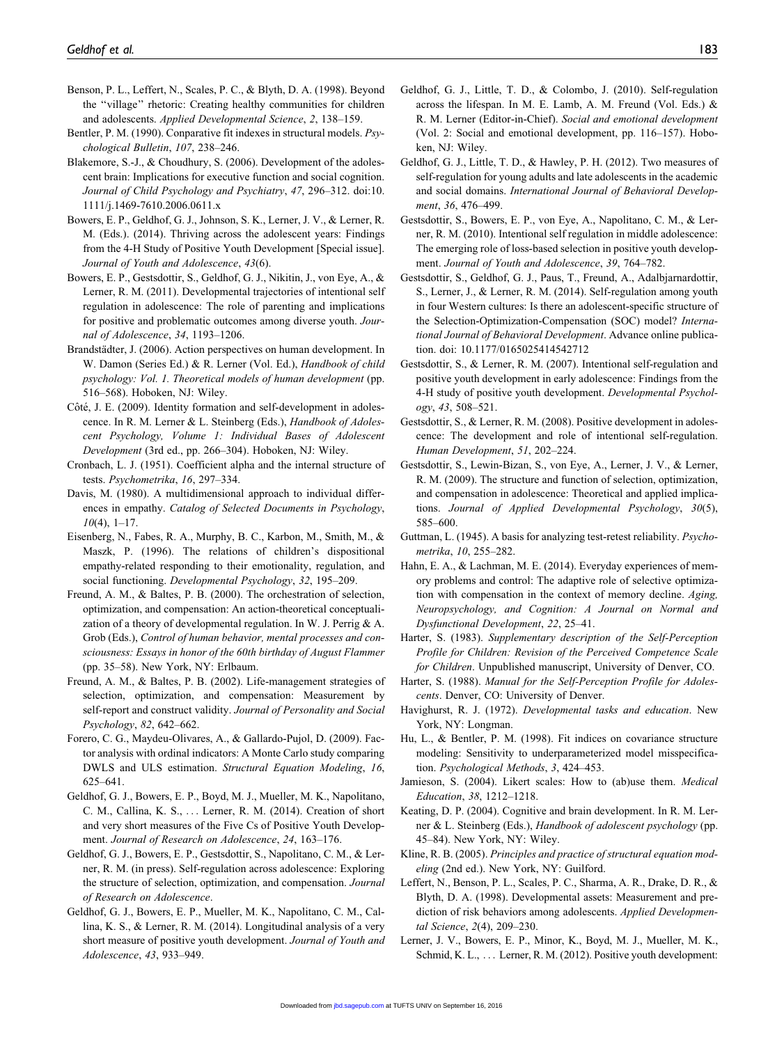- Benson, P. L., Leffert, N., Scales, P. C., & Blyth, D. A. (1998). Beyond the ''village'' rhetoric: Creating healthy communities for children and adolescents. Applied Developmental Science, 2, 138–159.
- Bentler, P. M. (1990). Conparative fit indexes in structural models. Psychological Bulletin, 107, 238–246.
- Blakemore, S.-J., & Choudhury, S. (2006). Development of the adolescent brain: Implications for executive function and social cognition. Journal of Child Psychology and Psychiatry, 47, 296–312. doi:10. 1111/j.1469-7610.2006.0611.x
- Bowers, E. P., Geldhof, G. J., Johnson, S. K., Lerner, J. V., & Lerner, R. M. (Eds.). (2014). Thriving across the adolescent years: Findings from the 4-H Study of Positive Youth Development [Special issue]. Journal of Youth and Adolescence, 43(6).
- Bowers, E. P., Gestsdottir, S., Geldhof, G. J., Nikitin, J., von Eye, A., & Lerner, R. M. (2011). Developmental trajectories of intentional self regulation in adolescence: The role of parenting and implications for positive and problematic outcomes among diverse youth. Journal of Adolescence, 34, 1193–1206.
- Brandstädter, J. (2006). Action perspectives on human development. In W. Damon (Series Ed.) & R. Lerner (Vol. Ed.), Handbook of child psychology: Vol. 1. Theoretical models of human development (pp. 516–568). Hoboken, NJ: Wiley.
- Côté, J. E. (2009). Identity formation and self-development in adolescence. In R. M. Lerner & L. Steinberg (Eds.), Handbook of Adolescent Psychology, Volume 1: Individual Bases of Adolescent Development (3rd ed., pp. 266–304). Hoboken, NJ: Wiley.
- Cronbach, L. J. (1951). Coefficient alpha and the internal structure of tests. Psychometrika, 16, 297–334.
- Davis, M. (1980). A multidimensional approach to individual differences in empathy. Catalog of Selected Documents in Psychology,  $10(4)$ , 1-17.
- Eisenberg, N., Fabes, R. A., Murphy, B. C., Karbon, M., Smith, M., & Maszk, P. (1996). The relations of children's dispositional empathy-related responding to their emotionality, regulation, and social functioning. Developmental Psychology, 32, 195–209.
- Freund, A. M., & Baltes, P. B. (2000). The orchestration of selection, optimization, and compensation: An action-theoretical conceptualization of a theory of developmental regulation. In W. J. Perrig & A. Grob (Eds.), Control of human behavior, mental processes and consciousness: Essays in honor of the 60th birthday of August Flammer (pp. 35–58). New York, NY: Erlbaum.
- Freund, A. M., & Baltes, P. B. (2002). Life-management strategies of selection, optimization, and compensation: Measurement by self-report and construct validity. Journal of Personality and Social Psychology, 82, 642–662.
- Forero, C. G., Maydeu-Olivares, A., & Gallardo-Pujol, D. (2009). Factor analysis with ordinal indicators: A Monte Carlo study comparing DWLS and ULS estimation. Structural Equation Modeling, 16, 625–641.
- Geldhof, G. J., Bowers, E. P., Boyd, M. J., Mueller, M. K., Napolitano, C. M., Callina, K. S., ... Lerner, R. M. (2014). Creation of short and very short measures of the Five Cs of Positive Youth Development. Journal of Research on Adolescence, 24, 163–176.
- Geldhof, G. J., Bowers, E. P., Gestsdottir, S., Napolitano, C. M., & Lerner, R. M. (in press). Self-regulation across adolescence: Exploring the structure of selection, optimization, and compensation. Journal of Research on Adolescence.
- Geldhof, G. J., Bowers, E. P., Mueller, M. K., Napolitano, C. M., Callina, K. S., & Lerner, R. M. (2014). Longitudinal analysis of a very short measure of positive youth development. Journal of Youth and Adolescence, 43, 933–949.
- Geldhof, G. J., Little, T. D., & Colombo, J. (2010). Self-regulation across the lifespan. In M. E. Lamb, A. M. Freund (Vol. Eds.) & R. M. Lerner (Editor-in-Chief). Social and emotional development (Vol. 2: Social and emotional development, pp. 116–157). Hoboken, NJ: Wiley.
- Geldhof, G. J., Little, T. D., & Hawley, P. H. (2012). Two measures of self-regulation for young adults and late adolescents in the academic and social domains. International Journal of Behavioral Development, 36, 476–499.
- Gestsdottir, S., Bowers, E. P., von Eye, A., Napolitano, C. M., & Lerner, R. M. (2010). Intentional self regulation in middle adolescence: The emerging role of loss-based selection in positive youth development. Journal of Youth and Adolescence, 39, 764–782.
- Gestsdottir, S., Geldhof, G. J., Paus, T., Freund, A., Adalbjarnardottir, S., Lerner, J., & Lerner, R. M. (2014). Self-regulation among youth in four Western cultures: Is there an adolescent-specific structure of the Selection-Optimization-Compensation (SOC) model? International Journal of Behavioral Development. Advance online publication. doi: 10.1177/0165025414542712
- Gestsdottir, S., & Lerner, R. M. (2007). Intentional self-regulation and positive youth development in early adolescence: Findings from the 4-H study of positive youth development. Developmental Psychology, 43, 508–521.
- Gestsdottir, S., & Lerner, R. M. (2008). Positive development in adolescence: The development and role of intentional self-regulation. Human Development, 51, 202–224.
- Gestsdottir, S., Lewin-Bizan, S., von Eye, A., Lerner, J. V., & Lerner, R. M. (2009). The structure and function of selection, optimization, and compensation in adolescence: Theoretical and applied implications. Journal of Applied Developmental Psychology, 30(5), 585–600.
- Guttman, L. (1945). A basis for analyzing test-retest reliability. Psychometrika, 10, 255–282.
- Hahn, E. A., & Lachman, M. E. (2014). Everyday experiences of memory problems and control: The adaptive role of selective optimization with compensation in the context of memory decline. Aging, Neuropsychology, and Cognition: A Journal on Normal and Dysfunctional Development, 22, 25–41.
- Harter, S. (1983). Supplementary description of the Self-Perception Profile for Children: Revision of the Perceived Competence Scale for Children. Unpublished manuscript, University of Denver, CO.
- Harter, S. (1988). Manual for the Self-Perception Profile for Adolescents. Denver, CO: University of Denver.
- Havighurst, R. J. (1972). Developmental tasks and education. New York, NY: Longman.
- Hu, L., & Bentler, P. M. (1998). Fit indices on covariance structure modeling: Sensitivity to underparameterized model misspecification. Psychological Methods, 3, 424–453.
- Jamieson, S. (2004). Likert scales: How to (ab)use them. Medical Education, 38, 1212–1218.
- Keating, D. P. (2004). Cognitive and brain development. In R. M. Lerner & L. Steinberg (Eds.), Handbook of adolescent psychology (pp. 45–84). New York, NY: Wiley.
- Kline, R. B. (2005). Principles and practice of structural equation modeling (2nd ed.). New York, NY: Guilford.
- Leffert, N., Benson, P. L., Scales, P. C., Sharma, A. R., Drake, D. R., & Blyth, D. A. (1998). Developmental assets: Measurement and prediction of risk behaviors among adolescents. Applied Developmental Science, 2(4), 209–230.
- Lerner, J. V., Bowers, E. P., Minor, K., Boyd, M. J., Mueller, M. K., Schmid, K. L., ... Lerner, R. M. (2012). Positive youth development: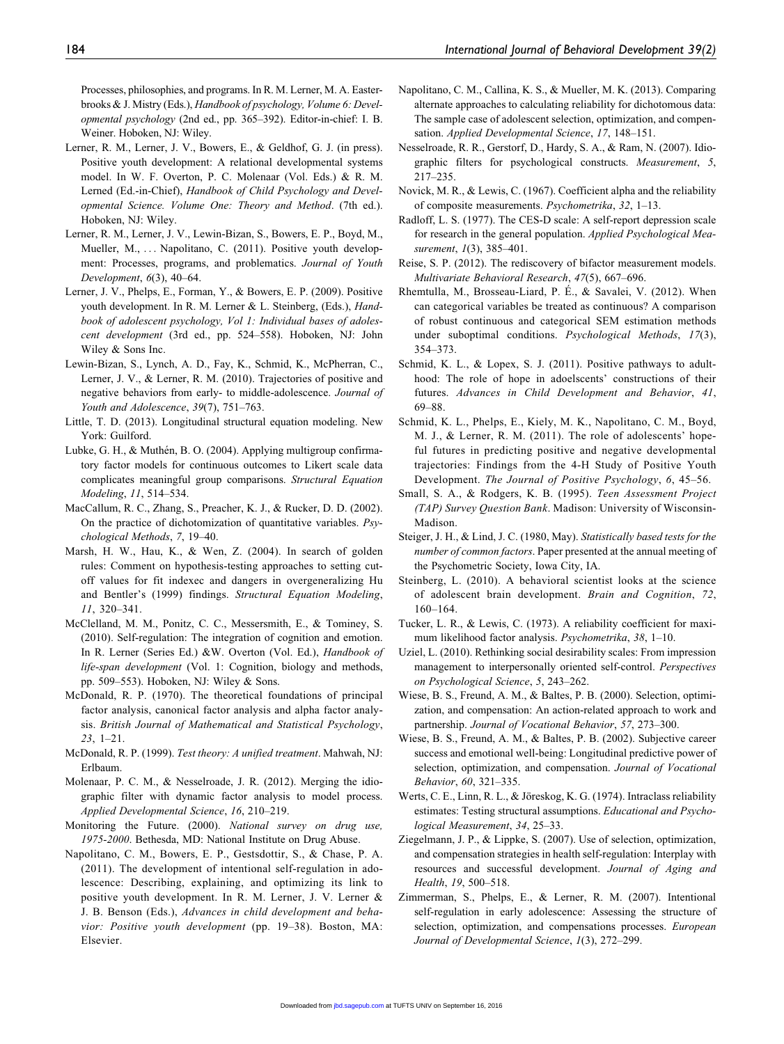Processes, philosophies, and programs. In R. M. Lerner, M. A. Easterbrooks & J. Mistry (Eds.), Handbook of psychology, Volume 6: Developmental psychology (2nd ed., pp. 365–392). Editor-in-chief: I. B. Weiner. Hoboken, NJ: Wiley.

- Lerner, R. M., Lerner, J. V., Bowers, E., & Geldhof, G. J. (in press). Positive youth development: A relational developmental systems model. In W. F. Overton, P. C. Molenaar (Vol. Eds.) & R. M. Lerned (Ed.-in-Chief), Handbook of Child Psychology and Developmental Science. Volume One: Theory and Method. (7th ed.). Hoboken, NJ: Wiley.
- Lerner, R. M., Lerner, J. V., Lewin-Bizan, S., Bowers, E. P., Boyd, M., Mueller, M., ... Napolitano, C. (2011). Positive youth development: Processes, programs, and problematics. Journal of Youth Development, 6(3), 40–64.
- Lerner, J. V., Phelps, E., Forman, Y., & Bowers, E. P. (2009). Positive youth development. In R. M. Lerner & L. Steinberg, (Eds.), Handbook of adolescent psychology, Vol 1: Individual bases of adolescent development (3rd ed., pp. 524–558). Hoboken, NJ: John Wiley & Sons Inc.
- Lewin-Bizan, S., Lynch, A. D., Fay, K., Schmid, K., McPherran, C., Lerner, J. V., & Lerner, R. M. (2010). Trajectories of positive and negative behaviors from early- to middle-adolescence. Journal of Youth and Adolescence, 39(7), 751–763.
- Little, T. D. (2013). Longitudinal structural equation modeling. New York: Guilford.
- Lubke, G. H., & Muthén, B. O. (2004). Applying multigroup confirmatory factor models for continuous outcomes to Likert scale data complicates meaningful group comparisons. Structural Equation Modeling, 11, 514–534.
- MacCallum, R. C., Zhang, S., Preacher, K. J., & Rucker, D. D. (2002). On the practice of dichotomization of quantitative variables. Psychological Methods, 7, 19–40.
- Marsh, H. W., Hau, K., & Wen, Z. (2004). In search of golden rules: Comment on hypothesis-testing approaches to setting cutoff values for fit indexec and dangers in overgeneralizing Hu and Bentler's (1999) findings. Structural Equation Modeling, 11, 320–341.
- McClelland, M. M., Ponitz, C. C., Messersmith, E., & Tominey, S. (2010). Self-regulation: The integration of cognition and emotion. In R. Lerner (Series Ed.) &W. Overton (Vol. Ed.), Handbook of life-span development (Vol. 1: Cognition, biology and methods, pp. 509–553). Hoboken, NJ: Wiley & Sons.
- McDonald, R. P. (1970). The theoretical foundations of principal factor analysis, canonical factor analysis and alpha factor analysis. British Journal of Mathematical and Statistical Psychology, 23, 1–21.
- McDonald, R. P. (1999). Test theory: A unified treatment. Mahwah, NJ: Erlbaum.
- Molenaar, P. C. M., & Nesselroade, J. R. (2012). Merging the idiographic filter with dynamic factor analysis to model process. Applied Developmental Science, 16, 210–219.
- Monitoring the Future. (2000). National survey on drug use, 1975-2000. Bethesda, MD: National Institute on Drug Abuse.
- Napolitano, C. M., Bowers, E. P., Gestsdottir, S., & Chase, P. A. (2011). The development of intentional self-regulation in adolescence: Describing, explaining, and optimizing its link to positive youth development. In R. M. Lerner, J. V. Lerner & J. B. Benson (Eds.), Advances in child development and behavior: Positive youth development (pp. 19–38). Boston, MA: Elsevier.
- Napolitano, C. M., Callina, K. S., & Mueller, M. K. (2013). Comparing alternate approaches to calculating reliability for dichotomous data: The sample case of adolescent selection, optimization, and compensation. Applied Developmental Science, 17, 148–151.
- Nesselroade, R. R., Gerstorf, D., Hardy, S. A., & Ram, N. (2007). Idiographic filters for psychological constructs. Measurement, 5, 217–235.
- Novick, M. R., & Lewis, C. (1967). Coefficient alpha and the reliability of composite measurements. Psychometrika, 32, 1–13.
- Radloff, L. S. (1977). The CES-D scale: A self-report depression scale for research in the general population. Applied Psychological Measurement, 1(3), 385-401.
- Reise, S. P. (2012). The rediscovery of bifactor measurement models. Multivariate Behavioral Research, 47(5), 667–696.
- Rhemtulla, M., Brosseau-Liard, P. E´., & Savalei, V. (2012). When can categorical variables be treated as continuous? A comparison of robust continuous and categorical SEM estimation methods under suboptimal conditions. Psychological Methods, 17(3), 354–373.
- Schmid, K. L., & Lopex, S. J. (2011). Positive pathways to adulthood: The role of hope in adoelscents' constructions of their futures. Advances in Child Development and Behavior, 41, 69–88.
- Schmid, K. L., Phelps, E., Kiely, M. K., Napolitano, C. M., Boyd, M. J., & Lerner, R. M. (2011). The role of adolescents' hopeful futures in predicting positive and negative developmental trajectories: Findings from the 4-H Study of Positive Youth Development. The Journal of Positive Psychology, 6, 45–56.
- Small, S. A., & Rodgers, K. B. (1995). Teen Assessment Project (TAP) Survey Question Bank. Madison: University of Wisconsin-Madison.
- Steiger, J. H., & Lind, J. C. (1980, May). Statistically based tests for the number of common factors. Paper presented at the annual meeting of the Psychometric Society, Iowa City, IA.
- Steinberg, L. (2010). A behavioral scientist looks at the science of adolescent brain development. Brain and Cognition, 72, 160–164.
- Tucker, L. R., & Lewis, C. (1973). A reliability coefficient for maximum likelihood factor analysis. Psychometrika, 38, 1–10.
- Uziel, L. (2010). Rethinking social desirability scales: From impression management to interpersonally oriented self-control. Perspectives on Psychological Science, 5, 243–262.
- Wiese, B. S., Freund, A. M., & Baltes, P. B. (2000). Selection, optimization, and compensation: An action-related approach to work and partnership. Journal of Vocational Behavior, 57, 273–300.
- Wiese, B. S., Freund, A. M., & Baltes, P. B. (2002). Subjective career success and emotional well-being: Longitudinal predictive power of selection, optimization, and compensation. Journal of Vocational Behavior, 60, 321–335.
- Werts, C. E., Linn, R. L., & Jöreskog, K. G. (1974). Intraclass reliability estimates: Testing structural assumptions. Educational and Psychological Measurement, 34, 25–33.
- Ziegelmann, J. P., & Lippke, S. (2007). Use of selection, optimization, and compensation strategies in health self-regulation: Interplay with resources and successful development. Journal of Aging and Health, 19, 500–518.
- Zimmerman, S., Phelps, E., & Lerner, R. M. (2007). Intentional self-regulation in early adolescence: Assessing the structure of selection, optimization, and compensations processes. European Journal of Developmental Science, 1(3), 272–299.